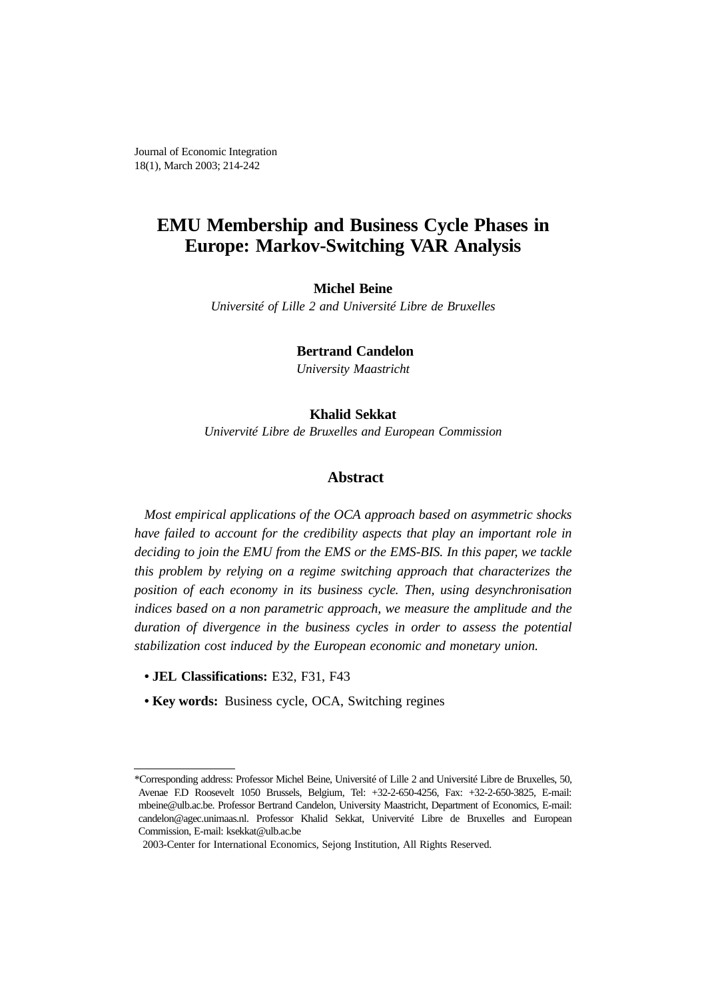Journal of Economic Integration 18(1), March 2003; 214-242

## **EMU Membership and Business Cycle Phases in Europe: Markov-Switching VAR Analysis**

#### **Michel Beine**

*Université of Lille 2 and Université Libre de Bruxelles*

 **Bertrand Candelon**

*University Maastricht*

#### **Khalid Sekkat**

*Univervité Libre de Bruxelles and European Commission*

## **Abstract**

*Most empirical applications of the OCA approach based on asymmetric shocks have failed to account for the credibility aspects that play an important role in deciding to join the EMU from the EMS or the EMS-BIS. In this paper, we tackle this problem by relying on a regime switching approach that characterizes the position of each economy in its business cycle. Then, using desynchronisation indices based on a non parametric approach, we measure the amplitude and the duration of divergence in the business cycles in order to assess the potential stabilization cost induced by the European economic and monetary union.*

- **• JEL Classifications:** E32, F31, F43
- **• Key words:** Business cycle, OCA, Switching regines

<sup>\*</sup>Corresponding address: Professor Michel Beine, Université of Lille 2 and Université Libre de Bruxelles, 50, Avenae F.D Roosevelt 1050 Brussels, Belgium, Tel: +32-2-650-4256, Fax: +32-2-650-3825, E-mail: mbeine@ulb.ac.be. Professor Bertrand Candelon, University Maastricht, Department of Economics, E-mail: candelon@agec.unimaas.nl. Professor Khalid Sekkat, Univervité Libre de Bruxelles and European Commission, E-mail: ksekkat@ulb.ac.be

<sup>2003-</sup>Center for International Economics, Sejong Institution, All Rights Reserved.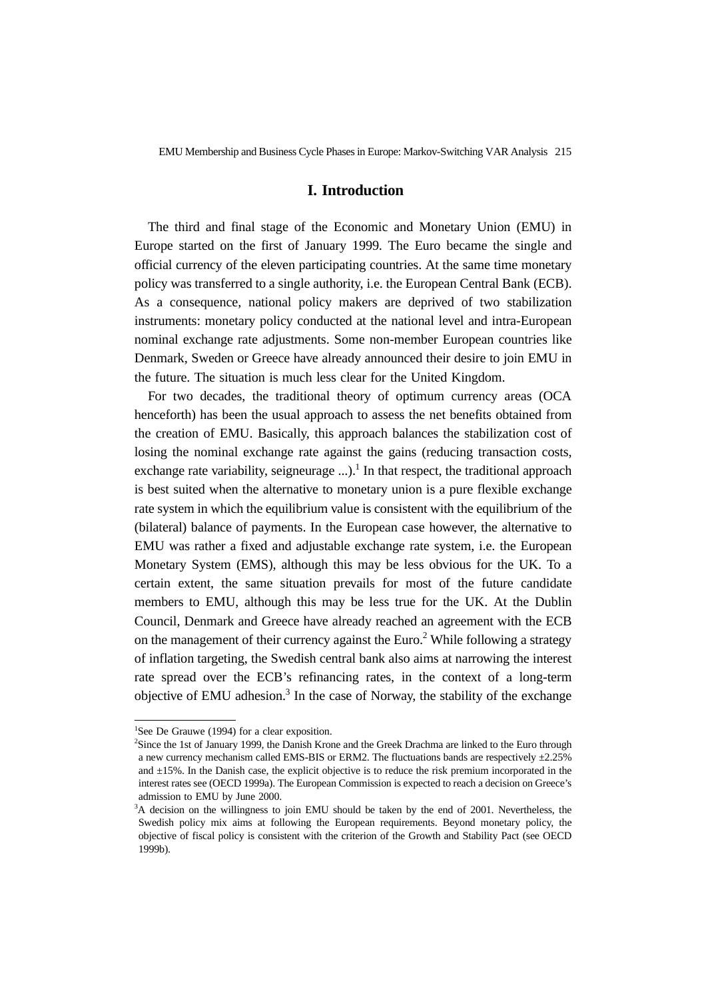### **I. Introduction**

The third and final stage of the Economic and Monetary Union (EMU) in Europe started on the first of January 1999. The Euro became the single and official currency of the eleven participating countries. At the same time monetary policy was transferred to a single authority, i.e. the European Central Bank (ECB). As a consequence, national policy makers are deprived of two stabilization instruments: monetary policy conducted at the national level and intra-European nominal exchange rate adjustments. Some non-member European countries like Denmark, Sweden or Greece have already announced their desire to join EMU in the future. The situation is much less clear for the United Kingdom.

For two decades, the traditional theory of optimum currency areas (OCA henceforth) has been the usual approach to assess the net benefits obtained from the creation of EMU. Basically, this approach balances the stabilization cost of losing the nominal exchange rate against the gains (reducing transaction costs, exchange rate variability, seigneurage ...).<sup>1</sup> In that respect, the traditional approach is best suited when the alternative to monetary union is a pure flexible exchange rate system in which the equilibrium value is consistent with the equilibrium of the (bilateral) balance of payments. In the European case however, the alternative to EMU was rather a fixed and adjustable exchange rate system, i.e. the European Monetary System (EMS), although this may be less obvious for the UK. To a certain extent, the same situation prevails for most of the future candidate members to EMU, although this may be less true for the UK. At the Dublin Council, Denmark and Greece have already reached an agreement with the ECB on the management of their currency against the Euro.<sup>2</sup> While following a strategy of inflation targeting, the Swedish central bank also aims at narrowing the interest rate spread over the ECB's refinancing rates, in the context of a long-term objective of EMU adhesion.<sup>3</sup> In the case of Norway, the stability of the exchange

<sup>&</sup>lt;sup>1</sup>See De Grauwe (1994) for a clear exposition.

<sup>2</sup> Since the 1st of January 1999, the Danish Krone and the Greek Drachma are linked to the Euro through a new currency mechanism called EMS-BIS or ERM2. The fluctuations bands are respectively ±2.25% and ±15%. In the Danish case, the explicit objective is to reduce the risk premium incorporated in the interest rates see (OECD 1999a). The European Commission is expected to reach a decision on Greece's admission to EMU by June 2000.

<sup>&</sup>lt;sup>3</sup>A decision on the willingness to join EMU should be taken by the end of 2001. Nevertheless, the Swedish policy mix aims at following the European requirements. Beyond monetary policy, the objective of fiscal policy is consistent with the criterion of the Growth and Stability Pact (see OECD 1999b).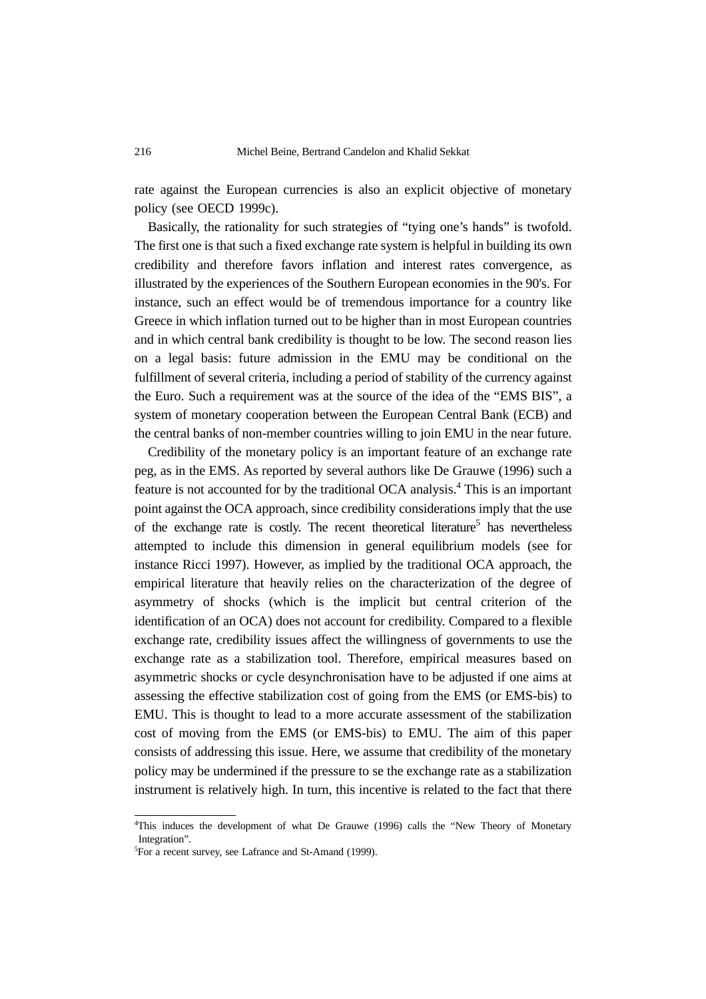rate against the European currencies is also an explicit objective of monetary policy (see OECD 1999c).

Basically, the rationality for such strategies of "tying one's hands" is twofold. The first one is that such a fixed exchange rate system is helpful in building its own credibility and therefore favors inflation and interest rates convergence, as illustrated by the experiences of the Southern European economies in the 90's. For instance, such an effect would be of tremendous importance for a country like Greece in which inflation turned out to be higher than in most European countries and in which central bank credibility is thought to be low. The second reason lies on a legal basis: future admission in the EMU may be conditional on the fulfillment of several criteria, including a period of stability of the currency against the Euro. Such a requirement was at the source of the idea of the "EMS BIS", a system of monetary cooperation between the European Central Bank (ECB) and the central banks of non-member countries willing to join EMU in the near future.

Credibility of the monetary policy is an important feature of an exchange rate peg, as in the EMS. As reported by several authors like De Grauwe (1996) such a feature is not accounted for by the traditional OCA analysis.<sup>4</sup> This is an important point against the OCA approach, since credibility considerations imply that the use of the exchange rate is costly. The recent theoretical literature<sup>5</sup> has nevertheless attempted to include this dimension in general equilibrium models (see for instance Ricci 1997). However, as implied by the traditional OCA approach, the empirical literature that heavily relies on the characterization of the degree of asymmetry of shocks (which is the implicit but central criterion of the identification of an OCA) does not account for credibility. Compared to a flexible exchange rate, credibility issues affect the willingness of governments to use the exchange rate as a stabilization tool. Therefore, empirical measures based on asymmetric shocks or cycle desynchronisation have to be adjusted if one aims at assessing the effective stabilization cost of going from the EMS (or EMS-bis) to EMU. This is thought to lead to a more accurate assessment of the stabilization cost of moving from the EMS (or EMS-bis) to EMU. The aim of this paper consists of addressing this issue. Here, we assume that credibility of the monetary policy may be undermined if the pressure to se the exchange rate as a stabilization instrument is relatively high. In turn, this incentive is related to the fact that there

<sup>4</sup> This induces the development of what De Grauwe (1996) calls the "New Theory of Monetary Integration".

<sup>&</sup>lt;sup>5</sup>For a recent survey, see Lafrance and St-Amand (1999).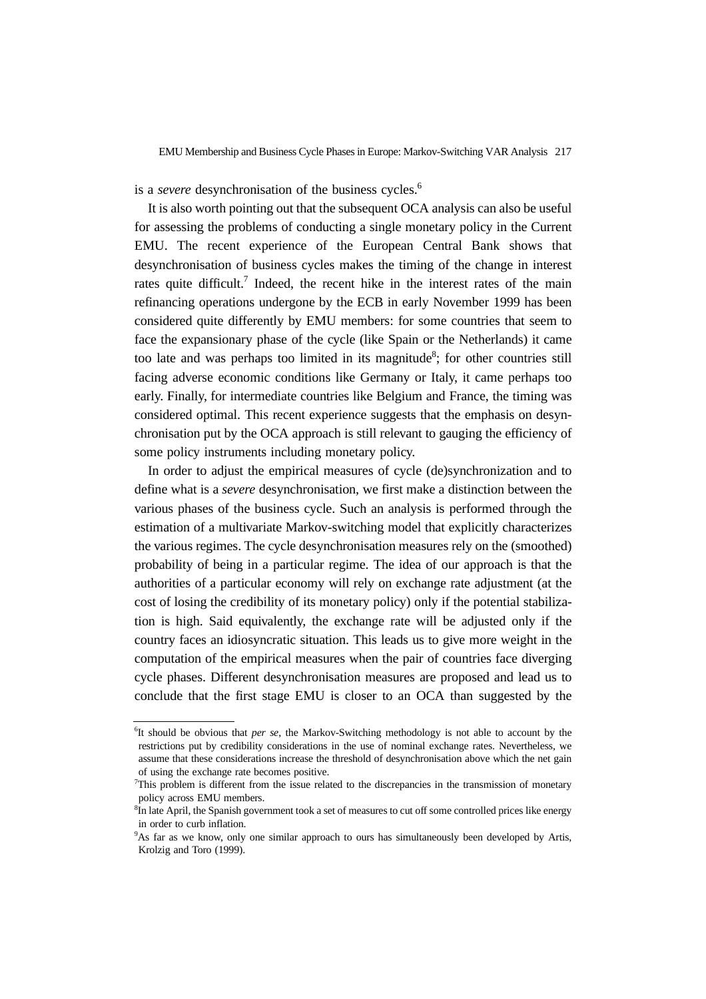is a *severe* desynchronisation of the business cycles.<sup>6</sup>

It is also worth pointing out that the subsequent OCA analysis can also be useful for assessing the problems of conducting a single monetary policy in the Current EMU. The recent experience of the European Central Bank shows that desynchronisation of business cycles makes the timing of the change in interest rates quite difficult.<sup>7</sup> Indeed, the recent hike in the interest rates of the main refinancing operations undergone by the ECB in early November 1999 has been considered quite differently by EMU members: for some countries that seem to face the expansionary phase of the cycle (like Spain or the Netherlands) it came too late and was perhaps too limited in its magnitude<sup>8</sup>; for other countries still facing adverse economic conditions like Germany or Italy, it came perhaps too early. Finally, for intermediate countries like Belgium and France, the timing was considered optimal. This recent experience suggests that the emphasis on desynchronisation put by the OCA approach is still relevant to gauging the efficiency of some policy instruments including monetary policy.

In order to adjust the empirical measures of cycle (de)synchronization and to define what is a *severe* desynchronisation, we first make a distinction between the various phases of the business cycle. Such an analysis is performed through the estimation of a multivariate Markov-switching model that explicitly characterizes the various regimes. The cycle desynchronisation measures rely on the (smoothed) probability of being in a particular regime. The idea of our approach is that the authorities of a particular economy will rely on exchange rate adjustment (at the cost of losing the credibility of its monetary policy) only if the potential stabilization is high. Said equivalently, the exchange rate will be adjusted only if the country faces an idiosyncratic situation. This leads us to give more weight in the computation of the empirical measures when the pair of countries face diverging cycle phases. Different desynchronisation measures are proposed and lead us to conclude that the first stage EMU is closer to an OCA than suggested by the

<sup>6</sup> It should be obvious that *per se*, the Markov-Switching methodology is not able to account by the restrictions put by credibility considerations in the use of nominal exchange rates. Nevertheless, we assume that these considerations increase the threshold of desynchronisation above which the net gain of using the exchange rate becomes positive.

<sup>7</sup> This problem is different from the issue related to the discrepancies in the transmission of monetary policy across EMU members.

<sup>&</sup>lt;sup>8</sup>In late April, the Spanish government took a set of measures to cut off some controlled prices like energy in order to curb inflation.

<sup>9</sup> As far as we know, only one similar approach to ours has simultaneously been developed by Artis, Krolzig and Toro (1999).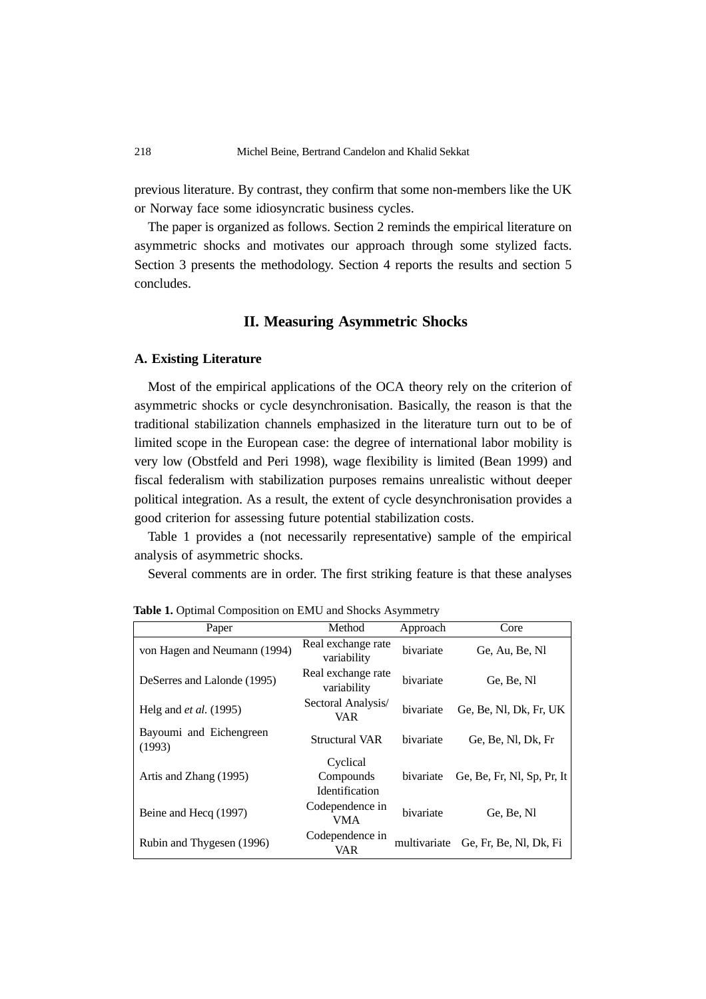previous literature. By contrast, they confirm that some non-members like the UK or Norway face some idiosyncratic business cycles.

The paper is organized as follows. Section 2 reminds the empirical literature on asymmetric shocks and motivates our approach through some stylized facts. Section 3 presents the methodology. Section 4 reports the results and section 5 concludes.

## **II. Measuring Asymmetric Shocks**

#### **A. Existing Literature**

Most of the empirical applications of the OCA theory rely on the criterion of asymmetric shocks or cycle desynchronisation. Basically, the reason is that the traditional stabilization channels emphasized in the literature turn out to be of limited scope in the European case: the degree of international labor mobility is very low (Obstfeld and Peri 1998), wage flexibility is limited (Bean 1999) and fiscal federalism with stabilization purposes remains unrealistic without deeper political integration. As a result, the extent of cycle desynchronisation provides a good criterion for assessing future potential stabilization costs.

Table 1 provides a (not necessarily representative) sample of the empirical analysis of asymmetric shocks.

Several comments are in order. The first striking feature is that these analyses

| Paper                             | Method                                         | Approach     | Core                       |
|-----------------------------------|------------------------------------------------|--------------|----------------------------|
| von Hagen and Neumann (1994)      | Real exchange rate<br>variability              | bivariate    | Ge, Au, Be, Nl             |
| DeSerres and Lalonde (1995)       | Real exchange rate<br>variability              | bivariate    | Ge, Be, Nl                 |
| Helg and <i>et al.</i> (1995)     | Sectoral Analysis/<br>VAR                      | bivariate    | Ge, Be, Nl, Dk, Fr, UK     |
| Bayoumi and Eichengreen<br>(1993) | <b>Structural VAR</b>                          | bivariate    | Ge, Be, Nl, Dk, Fr         |
| Artis and Zhang (1995)            | Cyclical<br>Compounds<br><b>Identification</b> | bivariate    | Ge, Be, Fr, Nl, Sp, Pr, It |
| Beine and Hecq (1997)             | Codependence in<br>VMA                         | bivariate    | Ge, Be, Nl                 |
| Rubin and Thygesen (1996)         | Codependence in<br>VAR                         | multivariate | Ge, Fr, Be, Nl, Dk, Fi     |

Table 1. Optimal Composition on EMU and Shocks Asymmetry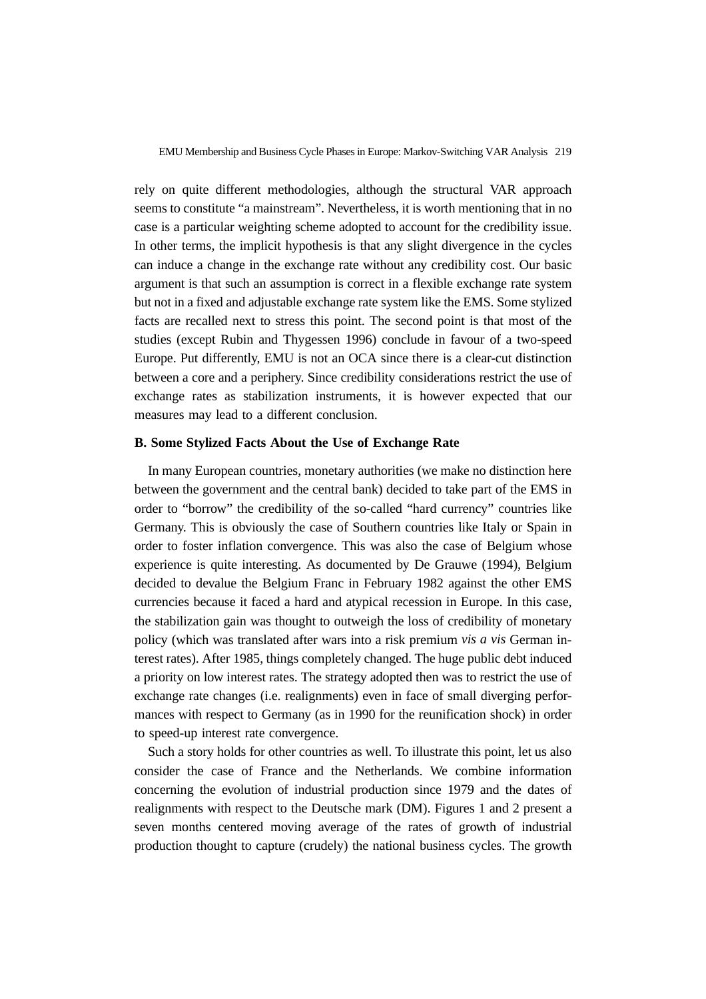rely on quite different methodologies, although the structural VAR approach seems to constitute "a mainstream". Nevertheless, it is worth mentioning that in no case is a particular weighting scheme adopted to account for the credibility issue. In other terms, the implicit hypothesis is that any slight divergence in the cycles can induce a change in the exchange rate without any credibility cost. Our basic argument is that such an assumption is correct in a flexible exchange rate system but not in a fixed and adjustable exchange rate system like the EMS. Some stylized facts are recalled next to stress this point. The second point is that most of the studies (except Rubin and Thygessen 1996) conclude in favour of a two-speed Europe. Put differently, EMU is not an OCA since there is a clear-cut distinction between a core and a periphery. Since credibility considerations restrict the use of exchange rates as stabilization instruments, it is however expected that our measures may lead to a different conclusion.

#### **B. Some Stylized Facts About the Use of Exchange Rate**

In many European countries, monetary authorities (we make no distinction here between the government and the central bank) decided to take part of the EMS in order to "borrow" the credibility of the so-called "hard currency" countries like Germany. This is obviously the case of Southern countries like Italy or Spain in order to foster inflation convergence. This was also the case of Belgium whose experience is quite interesting. As documented by De Grauwe (1994), Belgium decided to devalue the Belgium Franc in February 1982 against the other EMS currencies because it faced a hard and atypical recession in Europe. In this case, the stabilization gain was thought to outweigh the loss of credibility of monetary policy (which was translated after wars into a risk premium *vis a vis* German interest rates). After 1985, things completely changed. The huge public debt induced a priority on low interest rates. The strategy adopted then was to restrict the use of exchange rate changes (i.e. realignments) even in face of small diverging performances with respect to Germany (as in 1990 for the reunification shock) in order to speed-up interest rate convergence.

Such a story holds for other countries as well. To illustrate this point, let us also consider the case of France and the Netherlands. We combine information concerning the evolution of industrial production since 1979 and the dates of realignments with respect to the Deutsche mark (DM). Figures 1 and 2 present a seven months centered moving average of the rates of growth of industrial production thought to capture (crudely) the national business cycles. The growth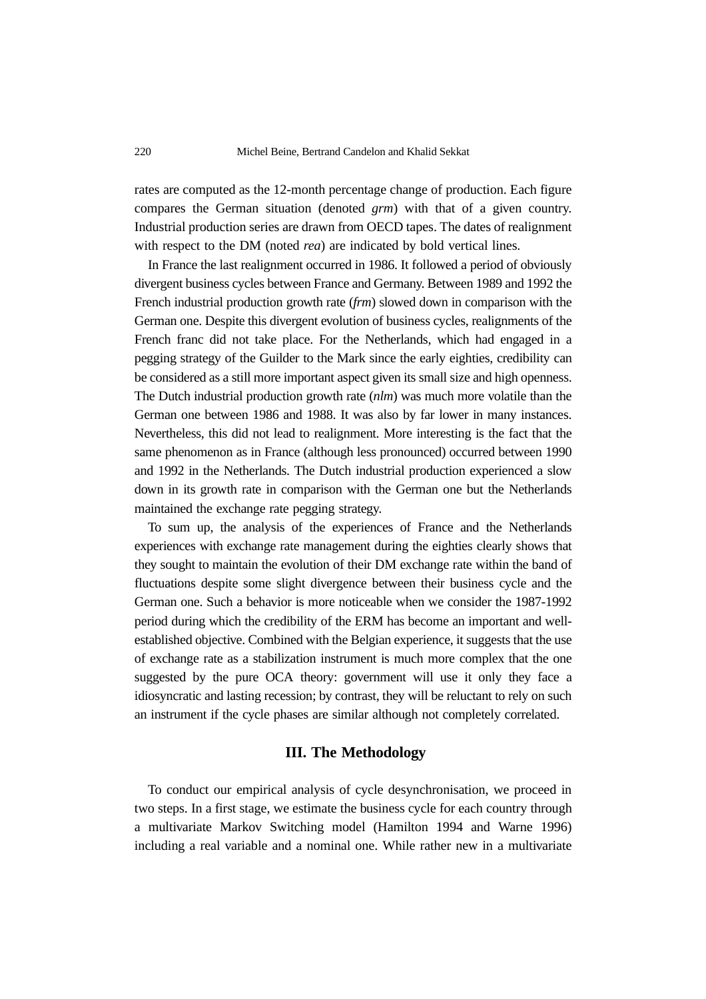rates are computed as the 12-month percentage change of production. Each figure compares the German situation (denoted *grm*) with that of a given country. Industrial production series are drawn from OECD tapes. The dates of realignment with respect to the DM (noted *rea*) are indicated by bold vertical lines.

In France the last realignment occurred in 1986. It followed a period of obviously divergent business cycles between France and Germany. Between 1989 and 1992 the French industrial production growth rate (*frm*) slowed down in comparison with the German one. Despite this divergent evolution of business cycles, realignments of the French franc did not take place. For the Netherlands, which had engaged in a pegging strategy of the Guilder to the Mark since the early eighties, credibility can be considered as a still more important aspect given its small size and high openness. The Dutch industrial production growth rate (*nlm*) was much more volatile than the German one between 1986 and 1988. It was also by far lower in many instances. Nevertheless, this did not lead to realignment. More interesting is the fact that the same phenomenon as in France (although less pronounced) occurred between 1990 and 1992 in the Netherlands. The Dutch industrial production experienced a slow down in its growth rate in comparison with the German one but the Netherlands maintained the exchange rate pegging strategy.

To sum up, the analysis of the experiences of France and the Netherlands experiences with exchange rate management during the eighties clearly shows that they sought to maintain the evolution of their DM exchange rate within the band of fluctuations despite some slight divergence between their business cycle and the German one. Such a behavior is more noticeable when we consider the 1987-1992 period during which the credibility of the ERM has become an important and wellestablished objective. Combined with the Belgian experience, it suggests that the use of exchange rate as a stabilization instrument is much more complex that the one suggested by the pure OCA theory: government will use it only they face a idiosyncratic and lasting recession; by contrast, they will be reluctant to rely on such an instrument if the cycle phases are similar although not completely correlated.

#### **III. The Methodology**

To conduct our empirical analysis of cycle desynchronisation, we proceed in two steps. In a first stage, we estimate the business cycle for each country through a multivariate Markov Switching model (Hamilton 1994 and Warne 1996) including a real variable and a nominal one. While rather new in a multivariate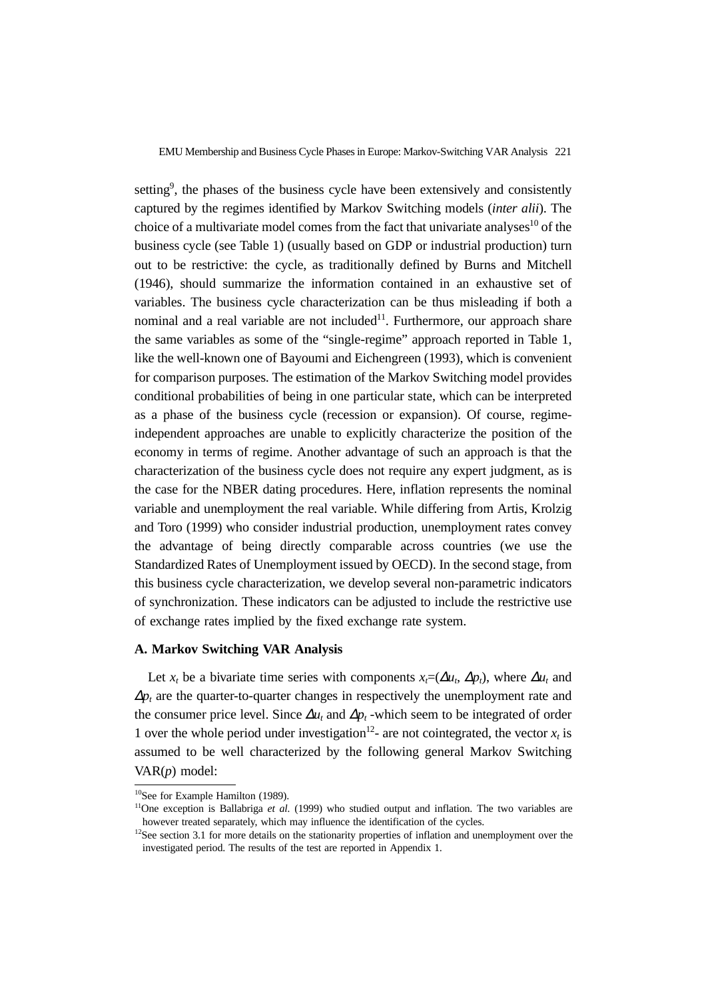setting<sup>9</sup>, the phases of the business cycle have been extensively and consistently captured by the regimes identified by Markov Switching models (*inter alii*). The choice of a multivariate model comes from the fact that univariate analyses $10$  of the business cycle (see Table 1) (usually based on GDP or industrial production) turn out to be restrictive: the cycle, as traditionally defined by Burns and Mitchell (1946), should summarize the information contained in an exhaustive set of variables. The business cycle characterization can be thus misleading if both a nominal and a real variable are not included $11$ . Furthermore, our approach share the same variables as some of the "single-regime" approach reported in Table 1, like the well-known one of Bayoumi and Eichengreen (1993), which is convenient for comparison purposes. The estimation of the Markov Switching model provides conditional probabilities of being in one particular state, which can be interpreted as a phase of the business cycle (recession or expansion). Of course, regimeindependent approaches are unable to explicitly characterize the position of the economy in terms of regime. Another advantage of such an approach is that the characterization of the business cycle does not require any expert judgment, as is the case for the NBER dating procedures. Here, inflation represents the nominal variable and unemployment the real variable. While differing from Artis, Krolzig and Toro (1999) who consider industrial production, unemployment rates convey the advantage of being directly comparable across countries (we use the Standardized Rates of Unemployment issued by OECD). In the second stage, from this business cycle characterization, we develop several non-parametric indicators of synchronization. These indicators can be adjusted to include the restrictive use of exchange rates implied by the fixed exchange rate system.

#### **A. Markov Switching VAR Analysis**

Let *x<sub>t</sub>* be a bivariate time series with components  $x = (\Delta u_t, \Delta p_t)$ , where  $\Delta u_t$  and <sup>∆</sup>*pt* are the quarter-to-quarter changes in respectively the unemployment rate and the consumer price level. Since  $\Delta u_t$  and  $\Delta p_t$  -which seem to be integrated of order 1 over the whole period under investigation<sup>12</sup>- are not cointegrated, the vector  $x_t$  is assumed to be well characterized by the following general Markov Switching VAR(*p*) model:

<sup>&</sup>lt;sup>10</sup>See for Example Hamilton (1989).

<sup>&</sup>lt;sup>11</sup>One exception is Ballabriga *et al.* (1999) who studied output and inflation. The two variables are however treated separately, which may influence the identification of the cycles.

 $12$ See section 3.1 for more details on the stationarity properties of inflation and unemployment over the investigated period. The results of the test are reported in Appendix 1.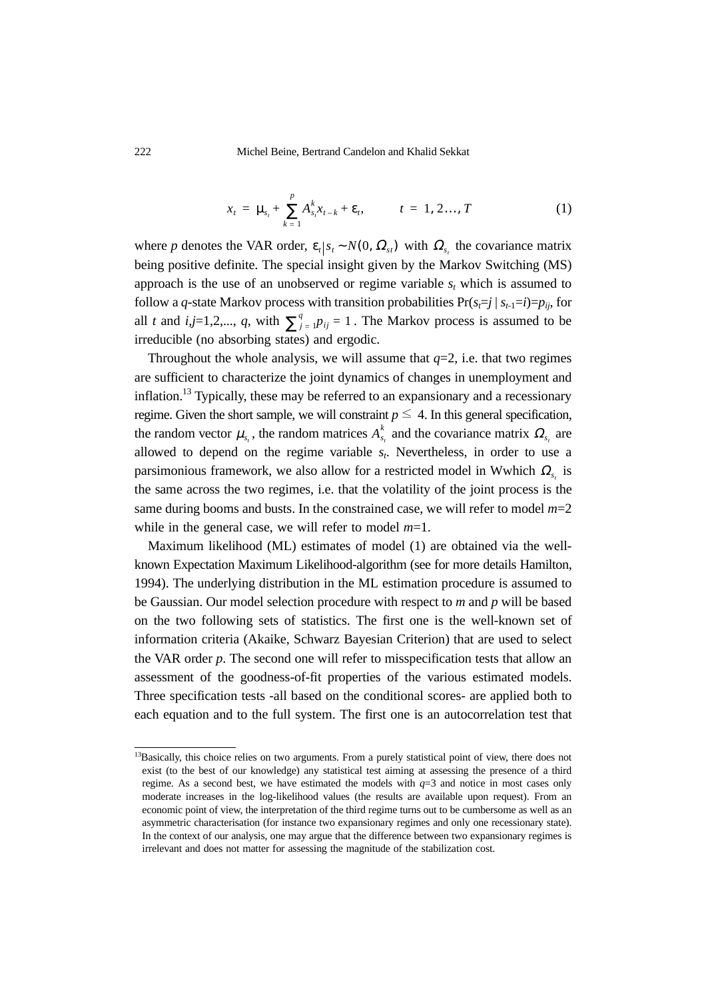222 Michel Beine, Bertrand Candelon and Khalid Sekkat

$$
x_{t} = \mu_{s_{t}} + \sum_{k=1}^{p} A_{s_{t}}^{k} x_{t-k} + \varepsilon_{t}, \qquad t = 1, 2..., T
$$
 (1)

where *p* denotes the VAR order,  $\varepsilon_t | s_t \sim N(0, \Omega_{st})$  with  $\Omega_{s_t}$  the covariance matrix being positive definite. The special insight given by the Markov Switching (MS) approach is the use of an unobserved or regime variable  $s_t$  which is assumed to follow a *q*-state Markov process with transition probabilities  $Pr(s_{t} = j | s_{t-1} = i) = p_{ij}$ , for all *t* and *i*,*j*=1,2,..., *q*, with  $\sum_{j=1}^{q} p_{ij} = 1$ . The Markov process is assumed to be irreducible (no absorbing states) and ergodic.

Throughout the whole analysis, we will assume that  $q=2$ , i.e. that two regimes are sufficient to characterize the joint dynamics of changes in unemployment and inflation.<sup>13</sup> Typically, these may be referred to an expansionary and a recessionary regime. Given the short sample, we will constraint  $p \leq 4$ . In this general specification, the random vector  $\mu_{s_t}$ , the random matrices  $A_{s_t}^k$  and the covariance matrix  $\Omega_{s_t}$  are allowed to depend on the regime variable *st*. Nevertheless, in order to use a parsimonious framework, we also allow for a restricted model in Wwhich  $\Omega_{s_t}$  is the same across the two regimes, i.e. that the volatility of the joint process is the same during booms and busts. In the constrained case, we will refer to model  $m=2$ while in the general case, we will refer to model *m*=1.

Maximum likelihood (ML) estimates of model (1) are obtained via the wellknown Expectation Maximum Likelihood-algorithm (see for more details Hamilton, 1994). The underlying distribution in the ML estimation procedure is assumed to be Gaussian. Our model selection procedure with respect to *m* and *p* will be based on the two following sets of statistics. The first one is the well-known set of information criteria (Akaike, Schwarz Bayesian Criterion) that are used to select the VAR order *p*. The second one will refer to misspecification tests that allow an assessment of the goodness-of-fit properties of the various estimated models. Three specification tests -all based on the conditional scores- are applied both to each equation and to the full system. The first one is an autocorrelation test that

<sup>&</sup>lt;sup>13</sup>Basically, this choice relies on two arguments. From a purely statistical point of view, there does not exist (to the best of our knowledge) any statistical test aiming at assessing the presence of a third regime. As a second best, we have estimated the models with  $q=3$  and notice in most cases only moderate increases in the log-likelihood values (the results are available upon request). From an economic point of view, the interpretation of the third regime turns out to be cumbersome as well as an asymmetric characterisation (for instance two expansionary regimes and only one recessionary state). In the context of our analysis, one may argue that the difference between two expansionary regimes is irrelevant and does not matter for assessing the magnitude of the stabilization cost.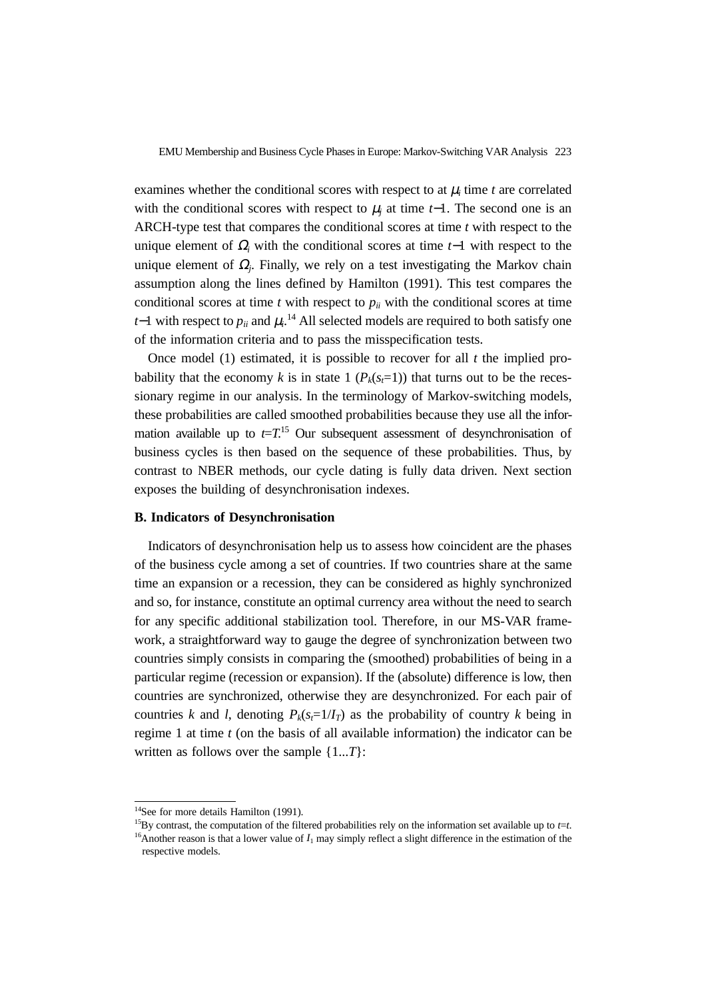examines whether the conditional scores with respect to at  $\mu_i$  time  $t$  are correlated with the conditional scores with respect to  $\mu_i$  at time *t*−1. The second one is an ARCH-type test that compares the conditional scores at time *t* with respect to the unique element of <sup>Ω</sup>*i* with the conditional scores at time *t*−1 with respect to the unique element of  $\Omega_i$ . Finally, we rely on a test investigating the Markov chain assumption along the lines defined by Hamilton (1991). This test compares the conditional scores at time  $t$  with respect to  $p_{ii}$  with the conditional scores at time *t*−1 with respect to  $p_{ii}$  and  $\mu_i$ .<sup>14</sup> All selected models are required to both satisfy one of the information criteria and to pass the misspecification tests.

Once model (1) estimated, it is possible to recover for all *t* the implied probability that the economy *k* is in state 1 ( $P_k(s_t=1)$ ) that turns out to be the recessionary regime in our analysis. In the terminology of Markov-switching models, these probabilities are called smoothed probabilities because they use all the information available up to  $t=T$ <sup>15</sup>. Our subsequent assessment of desynchronisation of business cycles is then based on the sequence of these probabilities. Thus, by contrast to NBER methods, our cycle dating is fully data driven. Next section exposes the building of desynchronisation indexes.

#### **B. Indicators of Desynchronisation**

Indicators of desynchronisation help us to assess how coincident are the phases of the business cycle among a set of countries. If two countries share at the same time an expansion or a recession, they can be considered as highly synchronized and so, for instance, constitute an optimal currency area without the need to search for any specific additional stabilization tool. Therefore, in our MS-VAR framework, a straightforward way to gauge the degree of synchronization between two countries simply consists in comparing the (smoothed) probabilities of being in a particular regime (recession or expansion). If the (absolute) difference is low, then countries are synchronized, otherwise they are desynchronized. For each pair of countries *k* and *l*, denoting  $P_k(s-1/I_T)$  as the probability of country *k* being in regime 1 at time *t* (on the basis of all available information) the indicator can be written as follows over the sample {1...*T*}:

<sup>&</sup>lt;sup>14</sup>See for more details Hamilton (1991).

<sup>&</sup>lt;sup>15</sup>By contrast, the computation of the filtered probabilities rely on the information set available up to  $t=t$ .

<sup>&</sup>lt;sup>16</sup>Another reason is that a lower value of  $I_1$  may simply reflect a slight difference in the estimation of the respective models.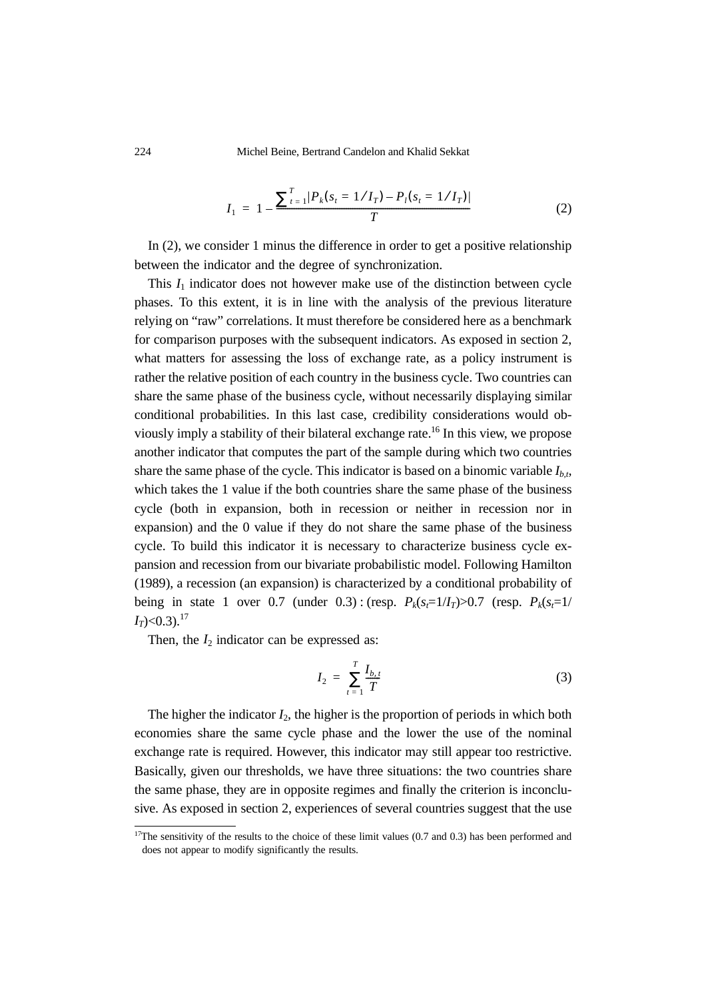224 Michel Beine, Bertrand Candelon and Khalid Sekkat

$$
I_1 = 1 - \frac{\sum_{t=1}^{T} |P_k(s_t = 1/I_T) - P_l(s_t = 1/I_T)|}{T}
$$
(2)

In (2), we consider 1 minus the difference in order to get a positive relationship between the indicator and the degree of synchronization.

This  $I_1$  indicator does not however make use of the distinction between cycle phases. To this extent, it is in line with the analysis of the previous literature relying on "raw" correlations. It must therefore be considered here as a benchmark for comparison purposes with the subsequent indicators. As exposed in section 2, what matters for assessing the loss of exchange rate, as a policy instrument is rather the relative position of each country in the business cycle. Two countries can share the same phase of the business cycle, without necessarily displaying similar conditional probabilities. In this last case, credibility considerations would obviously imply a stability of their bilateral exchange rate.16 In this view, we propose another indicator that computes the part of the sample during which two countries share the same phase of the cycle. This indicator is based on a binomic variable  $I_{b,b}$ which takes the 1 value if the both countries share the same phase of the business cycle (both in expansion, both in recession or neither in recession nor in expansion) and the 0 value if they do not share the same phase of the business cycle. To build this indicator it is necessary to characterize business cycle expansion and recession from our bivariate probabilistic model. Following Hamilton (1989), a recession (an expansion) is characterized by a conditional probability of being in state 1 over 0.7 (under 0.3): (resp.  $P_k(s_f=1/I_T) > 0.7$  (resp.  $P_k(s_f=1/I_T)$  $I_T$  $< 0.3$ ).<sup>17</sup>

Then, the  $I_2$  indicator can be expressed as:

$$
I_2 = \sum_{t=1}^T \frac{I_{b,t}}{T}
$$
 (3)

The higher the indicator  $I_2$ , the higher is the proportion of periods in which both economies share the same cycle phase and the lower the use of the nominal exchange rate is required. However, this indicator may still appear too restrictive. Basically, given our thresholds, we have three situations: the two countries share the same phase, they are in opposite regimes and finally the criterion is inconclusive. As exposed in section 2, experiences of several countries suggest that the use

 $17$ The sensitivity of the results to the choice of these limit values (0.7 and 0.3) has been performed and does not appear to modify significantly the results.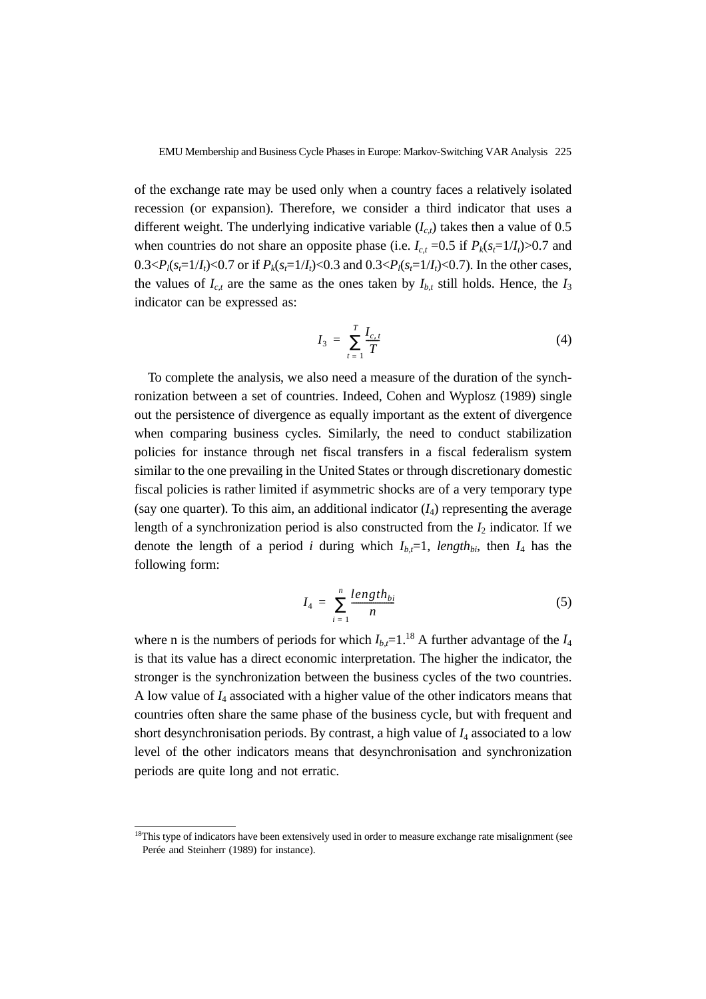of the exchange rate may be used only when a country faces a relatively isolated recession (or expansion). Therefore, we consider a third indicator that uses a different weight. The underlying indicative variable  $(I_{ct})$  takes then a value of 0.5 when countries do not share an opposite phase (i.e.  $I_{c,t} = 0.5$  if  $P_k(s_t=1/I_t) > 0.7$  and 0.3< $P_l(s_i=1/I_l)$ <0.7 or if  $P_k(s_i=1/I_l)$ <0.3 and 0.3< $P_l(s_i=1/I_l)$  <0.7). In the other cases, the values of  $I_{c,t}$  are the same as the ones taken by  $I_{b,t}$  still holds. Hence, the  $I_3$ indicator can be expressed as:

$$
I_3 = \sum_{t=1}^{T} \frac{I_{c,t}}{T}
$$
 (4)

To complete the analysis, we also need a measure of the duration of the synchronization between a set of countries. Indeed, Cohen and Wyplosz (1989) single out the persistence of divergence as equally important as the extent of divergence when comparing business cycles. Similarly, the need to conduct stabilization policies for instance through net fiscal transfers in a fiscal federalism system similar to the one prevailing in the United States or through discretionary domestic fiscal policies is rather limited if asymmetric shocks are of a very temporary type (say one quarter). To this aim, an additional indicator  $(I_4)$  representing the average length of a synchronization period is also constructed from the  $I_2$  indicator. If we denote the length of a period *i* during which  $I_{b,t}=1$ , *length<sub>bi</sub>*, then  $I_4$  has the following form:

$$
I_4 = \sum_{i=1}^n \frac{length_{bi}}{n} \tag{5}
$$

where n is the numbers of periods for which  $I_{b,t}=1$ <sup>18</sup> A further advantage of the  $I_4$ is that its value has a direct economic interpretation. The higher the indicator, the stronger is the synchronization between the business cycles of the two countries. A low value of *I*4 associated with a higher value of the other indicators means that countries often share the same phase of the business cycle, but with frequent and short desynchronisation periods. By contrast, a high value of  $I_4$  associated to a low level of the other indicators means that desynchronisation and synchronization periods are quite long and not erratic.

<sup>&</sup>lt;sup>18</sup>This type of indicators have been extensively used in order to measure exchange rate misalignment (see Perée and Steinherr (1989) for instance).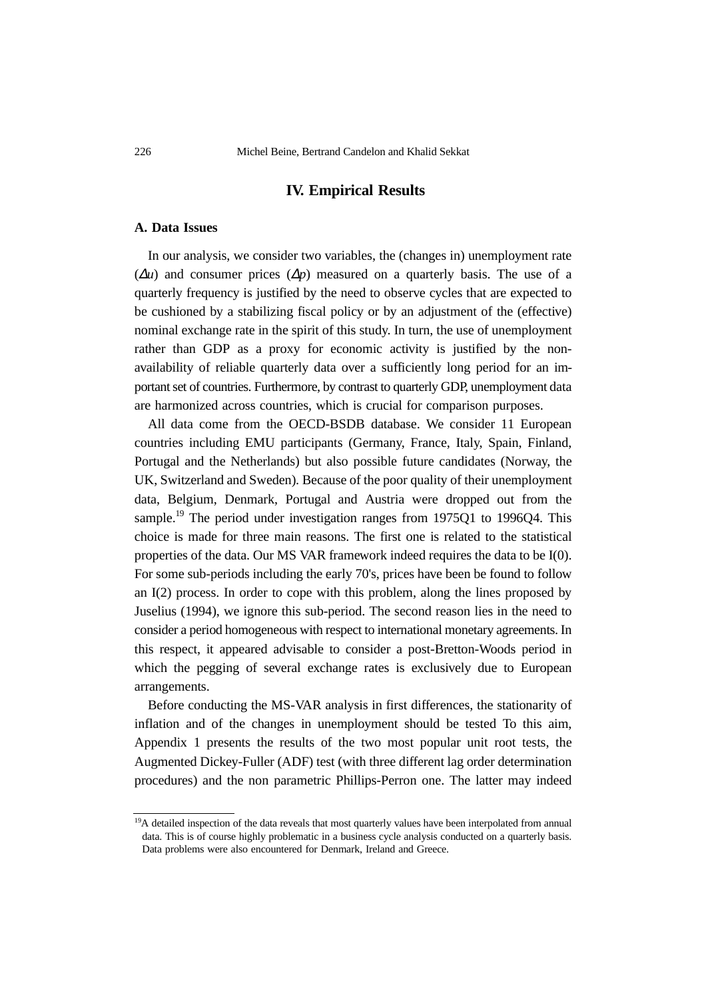#### **IV. Empirical Results**

#### **A. Data Issues**

In our analysis, we consider two variables, the (changes in) unemployment rate  $(\Delta u)$  and consumer prices  $(\Delta p)$  measured on a quarterly basis. The use of a quarterly frequency is justified by the need to observe cycles that are expected to be cushioned by a stabilizing fiscal policy or by an adjustment of the (effective) nominal exchange rate in the spirit of this study. In turn, the use of unemployment rather than GDP as a proxy for economic activity is justified by the nonavailability of reliable quarterly data over a sufficiently long period for an important set of countries. Furthermore, by contrast to quarterly GDP, unemployment data are harmonized across countries, which is crucial for comparison purposes.

All data come from the OECD-BSDB database. We consider 11 European countries including EMU participants (Germany, France, Italy, Spain, Finland, Portugal and the Netherlands) but also possible future candidates (Norway, the UK, Switzerland and Sweden). Because of the poor quality of their unemployment data, Belgium, Denmark, Portugal and Austria were dropped out from the sample.<sup>19</sup> The period under investigation ranges from 1975Q1 to 1996Q4. This choice is made for three main reasons. The first one is related to the statistical properties of the data. Our MS VAR framework indeed requires the data to be I(0). For some sub-periods including the early 70's, prices have been be found to follow an I(2) process. In order to cope with this problem, along the lines proposed by Juselius (1994), we ignore this sub-period. The second reason lies in the need to consider a period homogeneous with respect to international monetary agreements. In this respect, it appeared advisable to consider a post-Bretton-Woods period in which the pegging of several exchange rates is exclusively due to European arrangements.

Before conducting the MS-VAR analysis in first differences, the stationarity of inflation and of the changes in unemployment should be tested To this aim, Appendix 1 presents the results of the two most popular unit root tests, the Augmented Dickey-Fuller (ADF) test (with three different lag order determination procedures) and the non parametric Phillips-Perron one. The latter may indeed

<sup>&</sup>lt;sup>19</sup>A detailed inspection of the data reveals that most quarterly values have been interpolated from annual data. This is of course highly problematic in a business cycle analysis conducted on a quarterly basis. Data problems were also encountered for Denmark, Ireland and Greece.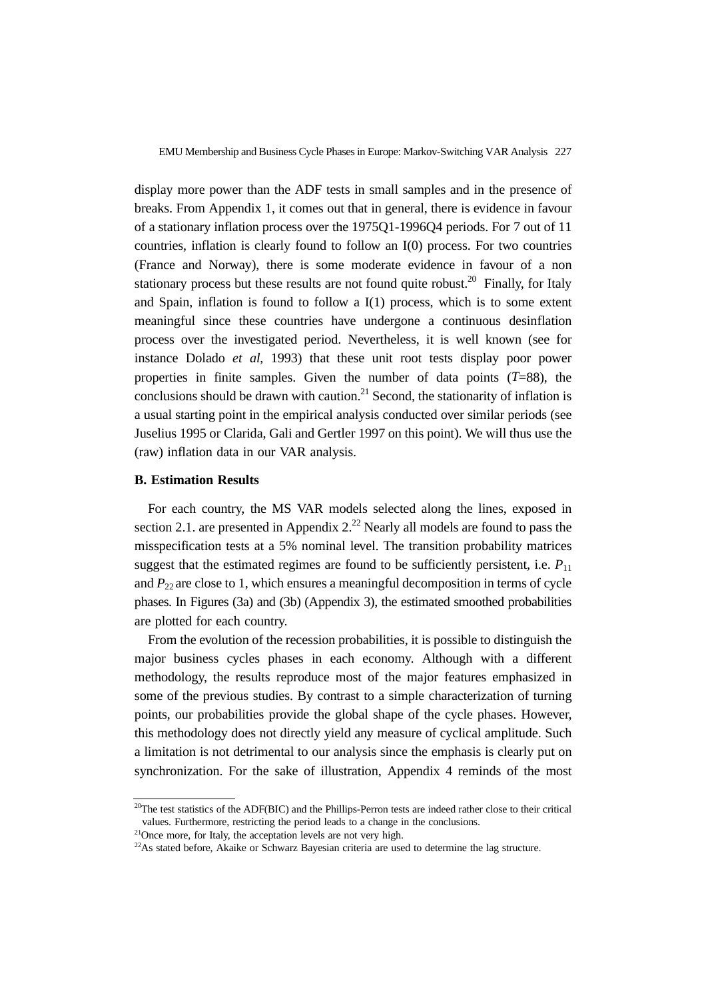display more power than the ADF tests in small samples and in the presence of breaks. From Appendix 1, it comes out that in general, there is evidence in favour of a stationary inflation process over the 1975Q1-1996Q4 periods. For 7 out of 11 countries, inflation is clearly found to follow an I(0) process. For two countries (France and Norway), there is some moderate evidence in favour of a non stationary process but these results are not found quite robust.<sup>20</sup> Finally, for Italy and Spain, inflation is found to follow a I(1) process, which is to some extent meaningful since these countries have undergone a continuous desinflation process over the investigated period. Nevertheless, it is well known (see for instance Dolado *et al*, 1993) that these unit root tests display poor power properties in finite samples. Given the number of data points  $(T=88)$ , the conclusions should be drawn with caution.<sup>21</sup> Second, the stationarity of inflation is a usual starting point in the empirical analysis conducted over similar periods (see Juselius 1995 or Clarida, Gali and Gertler 1997 on this point). We will thus use the (raw) inflation data in our VAR analysis.

#### **B. Estimation Results**

For each country, the MS VAR models selected along the lines, exposed in section 2.1. are presented in Appendix  $2^{2}$  Nearly all models are found to pass the misspecification tests at a 5% nominal level. The transition probability matrices suggest that the estimated regimes are found to be sufficiently persistent, i.e.  $P_{11}$ and  $P_{22}$  are close to 1, which ensures a meaningful decomposition in terms of cycle phases. In Figures (3a) and (3b) (Appendix 3), the estimated smoothed probabilities are plotted for each country.

From the evolution of the recession probabilities, it is possible to distinguish the major business cycles phases in each economy. Although with a different methodology, the results reproduce most of the major features emphasized in some of the previous studies. By contrast to a simple characterization of turning points, our probabilities provide the global shape of the cycle phases. However, this methodology does not directly yield any measure of cyclical amplitude. Such a limitation is not detrimental to our analysis since the emphasis is clearly put on synchronization. For the sake of illustration, Appendix 4 reminds of the most

<sup>&</sup>lt;sup>20</sup>The test statistics of the ADF(BIC) and the Phillips-Perron tests are indeed rather close to their critical values. Furthermore, restricting the period leads to a change in the conclusions.

<sup>&</sup>lt;sup>21</sup>Once more, for Italy, the acceptation levels are not very high.

 $22$ As stated before, Akaike or Schwarz Bayesian criteria are used to determine the lag structure.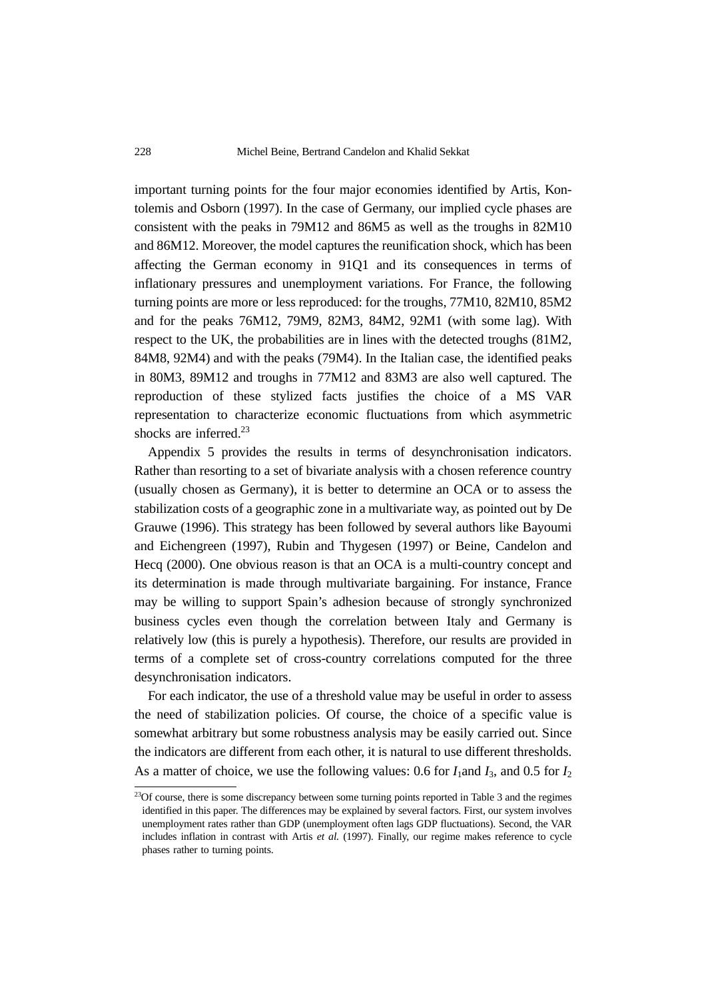important turning points for the four major economies identified by Artis, Kontolemis and Osborn (1997). In the case of Germany, our implied cycle phases are consistent with the peaks in 79M12 and 86M5 as well as the troughs in 82M10 and 86M12. Moreover, the model captures the reunification shock, which has been affecting the German economy in 91Q1 and its consequences in terms of inflationary pressures and unemployment variations. For France, the following turning points are more or less reproduced: for the troughs, 77M10, 82M10, 85M2 and for the peaks 76M12, 79M9, 82M3, 84M2, 92M1 (with some lag). With respect to the UK, the probabilities are in lines with the detected troughs (81M2, 84M8, 92M4) and with the peaks (79M4). In the Italian case, the identified peaks in 80M3, 89M12 and troughs in 77M12 and 83M3 are also well captured. The reproduction of these stylized facts justifies the choice of a MS VAR representation to characterize economic fluctuations from which asymmetric shocks are inferred.<sup>23</sup>

Appendix 5 provides the results in terms of desynchronisation indicators. Rather than resorting to a set of bivariate analysis with a chosen reference country (usually chosen as Germany), it is better to determine an OCA or to assess the stabilization costs of a geographic zone in a multivariate way, as pointed out by De Grauwe (1996). This strategy has been followed by several authors like Bayoumi and Eichengreen (1997), Rubin and Thygesen (1997) or Beine, Candelon and Hecq (2000). One obvious reason is that an OCA is a multi-country concept and its determination is made through multivariate bargaining. For instance, France may be willing to support Spain's adhesion because of strongly synchronized business cycles even though the correlation between Italy and Germany is relatively low (this is purely a hypothesis). Therefore, our results are provided in terms of a complete set of cross-country correlations computed for the three desynchronisation indicators.

For each indicator, the use of a threshold value may be useful in order to assess the need of stabilization policies. Of course, the choice of a specific value is somewhat arbitrary but some robustness analysis may be easily carried out. Since the indicators are different from each other, it is natural to use different thresholds. As a matter of choice, we use the following values: 0.6 for  $I_1$  and  $I_3$ , and 0.5 for  $I_2$ 

<sup>&</sup>lt;sup>23</sup>Of course, there is some discrepancy between some turning points reported in Table 3 and the regimes identified in this paper. The differences may be explained by several factors. First, our system involves unemployment rates rather than GDP (unemployment often lags GDP fluctuations). Second, the VAR includes inflation in contrast with Artis *et al.* (1997). Finally, our regime makes reference to cycle phases rather to turning points.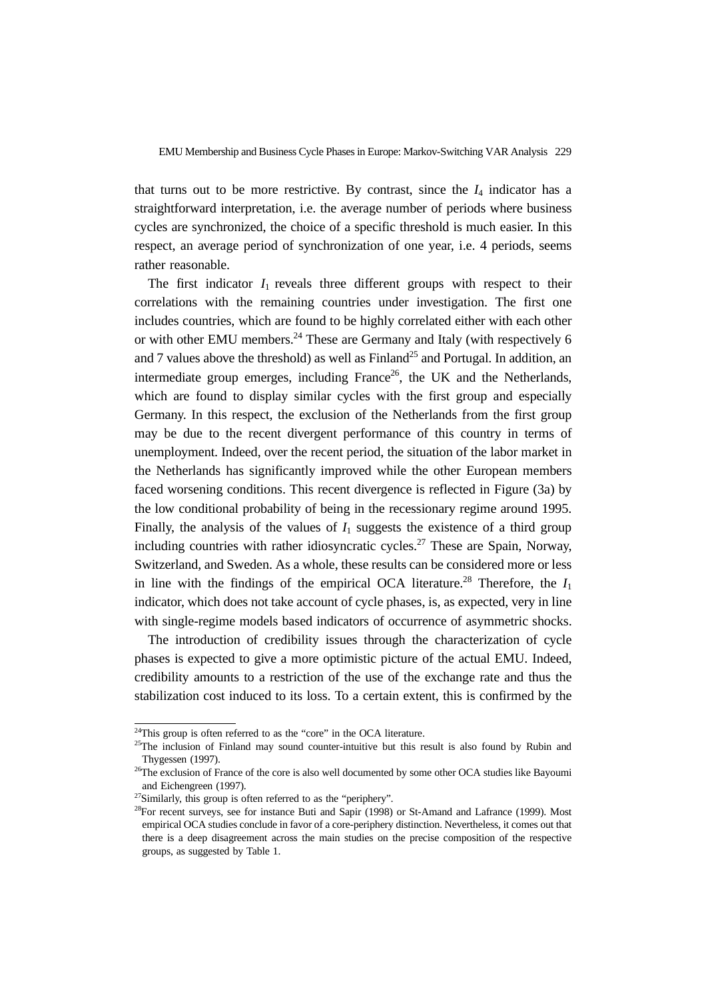that turns out to be more restrictive. By contrast, since the  $I_4$  indicator has a straightforward interpretation, i.e. the average number of periods where business cycles are synchronized, the choice of a specific threshold is much easier. In this respect, an average period of synchronization of one year, i.e. 4 periods, seems rather reasonable.

The first indicator  $I_1$  reveals three different groups with respect to their correlations with the remaining countries under investigation. The first one includes countries, which are found to be highly correlated either with each other or with other EMU members.<sup>24</sup> These are Germany and Italy (with respectively 6 and 7 values above the threshold) as well as  $Find and <sup>25</sup>$  and Portugal. In addition, an intermediate group emerges, including France<sup>26</sup>, the UK and the Netherlands, which are found to display similar cycles with the first group and especially Germany. In this respect, the exclusion of the Netherlands from the first group may be due to the recent divergent performance of this country in terms of unemployment. Indeed, over the recent period, the situation of the labor market in the Netherlands has significantly improved while the other European members faced worsening conditions. This recent divergence is reflected in Figure (3a) by the low conditional probability of being in the recessionary regime around 1995. Finally, the analysis of the values of  $I_1$  suggests the existence of a third group including countries with rather idiosyncratic cycles.<sup>27</sup> These are Spain, Norway, Switzerland, and Sweden. As a whole, these results can be considered more or less in line with the findings of the empirical OCA literature.<sup>28</sup> Therefore, the  $I_1$ indicator, which does not take account of cycle phases, is, as expected, very in line with single-regime models based indicators of occurrence of asymmetric shocks.

The introduction of credibility issues through the characterization of cycle phases is expected to give a more optimistic picture of the actual EMU. Indeed, credibility amounts to a restriction of the use of the exchange rate and thus the stabilization cost induced to its loss. To a certain extent, this is confirmed by the

<sup>&</sup>lt;sup>24</sup>This group is often referred to as the "core" in the OCA literature.

 $25$ The inclusion of Finland may sound counter-intuitive but this result is also found by Rubin and Thygessen (1997).

<sup>&</sup>lt;sup>26</sup>The exclusion of France of the core is also well documented by some other OCA studies like Bayoumi and Eichengreen (1997).

<sup>&</sup>lt;sup>27</sup>Similarly, this group is often referred to as the "periphery".

 $28$ For recent surveys, see for instance Buti and Sapir (1998) or St-Amand and Lafrance (1999). Most empirical OCA studies conclude in favor of a core-periphery distinction. Nevertheless, it comes out that there is a deep disagreement across the main studies on the precise composition of the respective groups, as suggested by Table 1.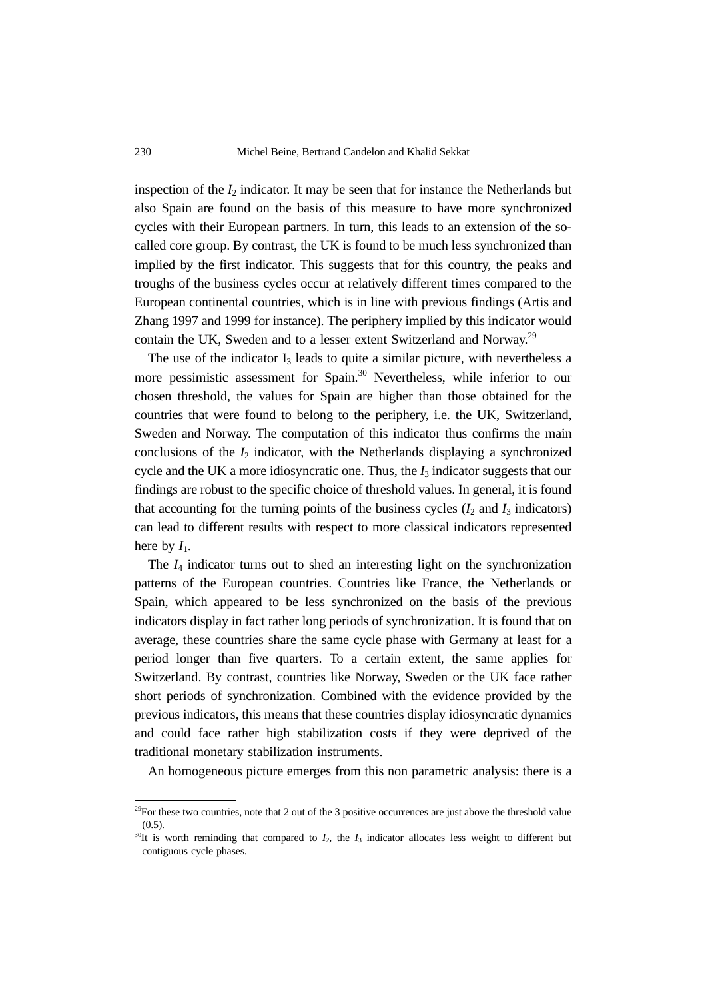inspection of the  $I_2$  indicator. It may be seen that for instance the Netherlands but also Spain are found on the basis of this measure to have more synchronized cycles with their European partners. In turn, this leads to an extension of the socalled core group. By contrast, the UK is found to be much less synchronized than implied by the first indicator. This suggests that for this country, the peaks and troughs of the business cycles occur at relatively different times compared to the European continental countries, which is in line with previous findings (Artis and Zhang 1997 and 1999 for instance). The periphery implied by this indicator would contain the UK, Sweden and to a lesser extent Switzerland and Norway.<sup>29</sup>

The use of the indicator  $I_3$  leads to quite a similar picture, with nevertheless a more pessimistic assessment for Spain.<sup>30</sup> Nevertheless, while inferior to our chosen threshold, the values for Spain are higher than those obtained for the countries that were found to belong to the periphery, i.e. the UK, Switzerland, Sweden and Norway. The computation of this indicator thus confirms the main conclusions of the *I*2 indicator, with the Netherlands displaying a synchronized cycle and the UK a more idiosyncratic one. Thus, the *I*3 indicator suggests that our findings are robust to the specific choice of threshold values. In general, it is found that accounting for the turning points of the business cycles  $(I_2 \text{ and } I_3 \text{ indicators})$ can lead to different results with respect to more classical indicators represented here by  $I_1$ .

The *I*4 indicator turns out to shed an interesting light on the synchronization patterns of the European countries. Countries like France, the Netherlands or Spain, which appeared to be less synchronized on the basis of the previous indicators display in fact rather long periods of synchronization. It is found that on average, these countries share the same cycle phase with Germany at least for a period longer than five quarters. To a certain extent, the same applies for Switzerland. By contrast, countries like Norway, Sweden or the UK face rather short periods of synchronization. Combined with the evidence provided by the previous indicators, this means that these countries display idiosyncratic dynamics and could face rather high stabilization costs if they were deprived of the traditional monetary stabilization instruments.

An homogeneous picture emerges from this non parametric analysis: there is a

 $^{29}$ For these two countries, note that 2 out of the 3 positive occurrences are just above the threshold value  $(0.5)$ .

 $30$ It is worth reminding that compared to  $I_2$ , the  $I_3$  indicator allocates less weight to different but contiguous cycle phases.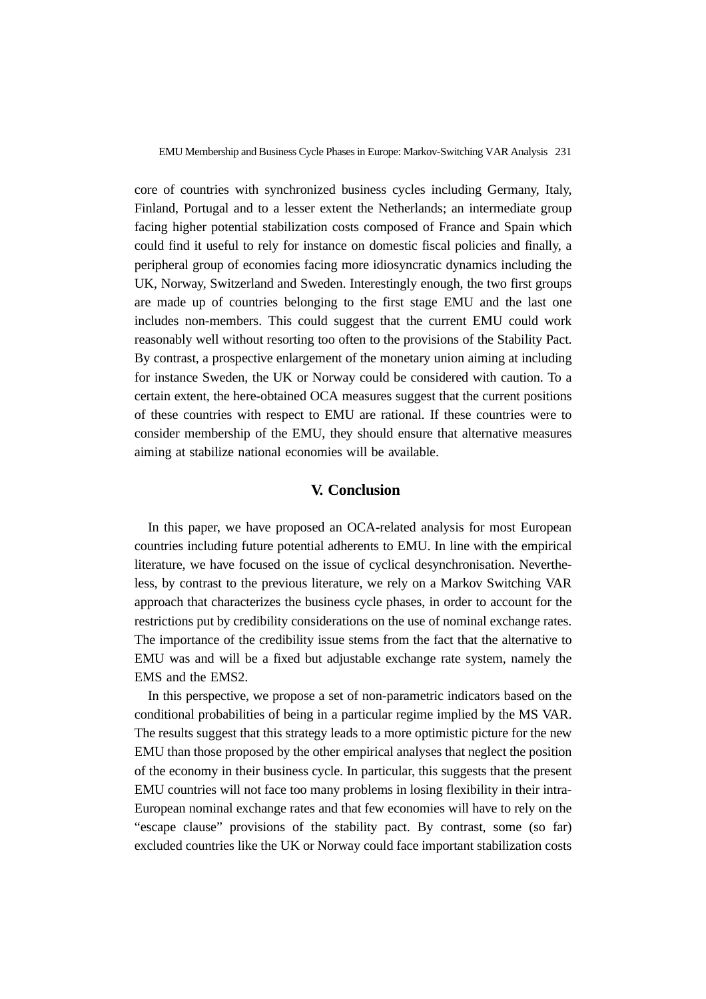core of countries with synchronized business cycles including Germany, Italy, Finland, Portugal and to a lesser extent the Netherlands; an intermediate group facing higher potential stabilization costs composed of France and Spain which could find it useful to rely for instance on domestic fiscal policies and finally, a peripheral group of economies facing more idiosyncratic dynamics including the UK, Norway, Switzerland and Sweden. Interestingly enough, the two first groups are made up of countries belonging to the first stage EMU and the last one includes non-members. This could suggest that the current EMU could work reasonably well without resorting too often to the provisions of the Stability Pact. By contrast, a prospective enlargement of the monetary union aiming at including for instance Sweden, the UK or Norway could be considered with caution. To a certain extent, the here-obtained OCA measures suggest that the current positions of these countries with respect to EMU are rational. If these countries were to consider membership of the EMU, they should ensure that alternative measures aiming at stabilize national economies will be available.

#### **V. Conclusion**

In this paper, we have proposed an OCA-related analysis for most European countries including future potential adherents to EMU. In line with the empirical literature, we have focused on the issue of cyclical desynchronisation. Nevertheless, by contrast to the previous literature, we rely on a Markov Switching VAR approach that characterizes the business cycle phases, in order to account for the restrictions put by credibility considerations on the use of nominal exchange rates. The importance of the credibility issue stems from the fact that the alternative to EMU was and will be a fixed but adjustable exchange rate system, namely the EMS and the EMS2.

In this perspective, we propose a set of non-parametric indicators based on the conditional probabilities of being in a particular regime implied by the MS VAR. The results suggest that this strategy leads to a more optimistic picture for the new EMU than those proposed by the other empirical analyses that neglect the position of the economy in their business cycle. In particular, this suggests that the present EMU countries will not face too many problems in losing flexibility in their intra-European nominal exchange rates and that few economies will have to rely on the "escape clause" provisions of the stability pact. By contrast, some (so far) excluded countries like the UK or Norway could face important stabilization costs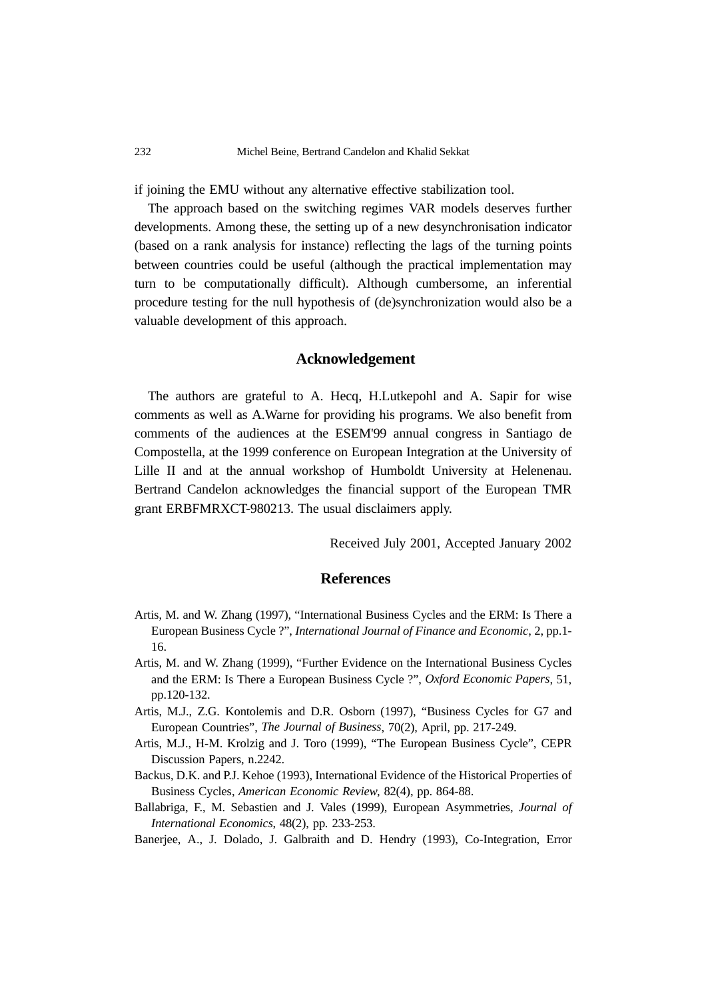if joining the EMU without any alternative effective stabilization tool.

The approach based on the switching regimes VAR models deserves further developments. Among these, the setting up of a new desynchronisation indicator (based on a rank analysis for instance) reflecting the lags of the turning points between countries could be useful (although the practical implementation may turn to be computationally difficult). Although cumbersome, an inferential procedure testing for the null hypothesis of (de)synchronization would also be a valuable development of this approach.

#### **Acknowledgement**

The authors are grateful to A. Hecq, H.Lutkepohl and A. Sapir for wise comments as well as A.Warne for providing his programs. We also benefit from comments of the audiences at the ESEM'99 annual congress in Santiago de Compostella, at the 1999 conference on European Integration at the University of Lille II and at the annual workshop of Humboldt University at Helenenau. Bertrand Candelon acknowledges the financial support of the European TMR grant ERBFMRXCT-980213. The usual disclaimers apply.

Received July 2001, Accepted January 2002

#### **References**

- Artis, M. and W. Zhang (1997), "International Business Cycles and the ERM: Is There a European Business Cycle ?", *International Journal of Finance and Economic*, 2, pp.1- 16.
- Artis, M. and W. Zhang (1999), "Further Evidence on the International Business Cycles and the ERM: Is There a European Business Cycle ?", *Oxford Economic Papers*, 51, pp.120-132.
- Artis, M.J., Z.G. Kontolemis and D.R. Osborn (1997), "Business Cycles for G7 and European Countries", *The Journal of Business*, 70(2), April, pp. 217-249.
- Artis, M.J., H-M. Krolzig and J. Toro (1999), "The European Business Cycle", CEPR Discussion Papers, n.2242.
- Backus, D.K. and P.J. Kehoe (1993), International Evidence of the Historical Properties of Business Cycles, *American Economic Review*, 82(4), pp. 864-88.
- Ballabriga, F., M. Sebastien and J. Vales (1999), European Asymmetries, *Journal of International Economics*, 48(2), pp. 233-253.
- Banerjee, A., J. Dolado, J. Galbraith and D. Hendry (1993), Co-Integration, Error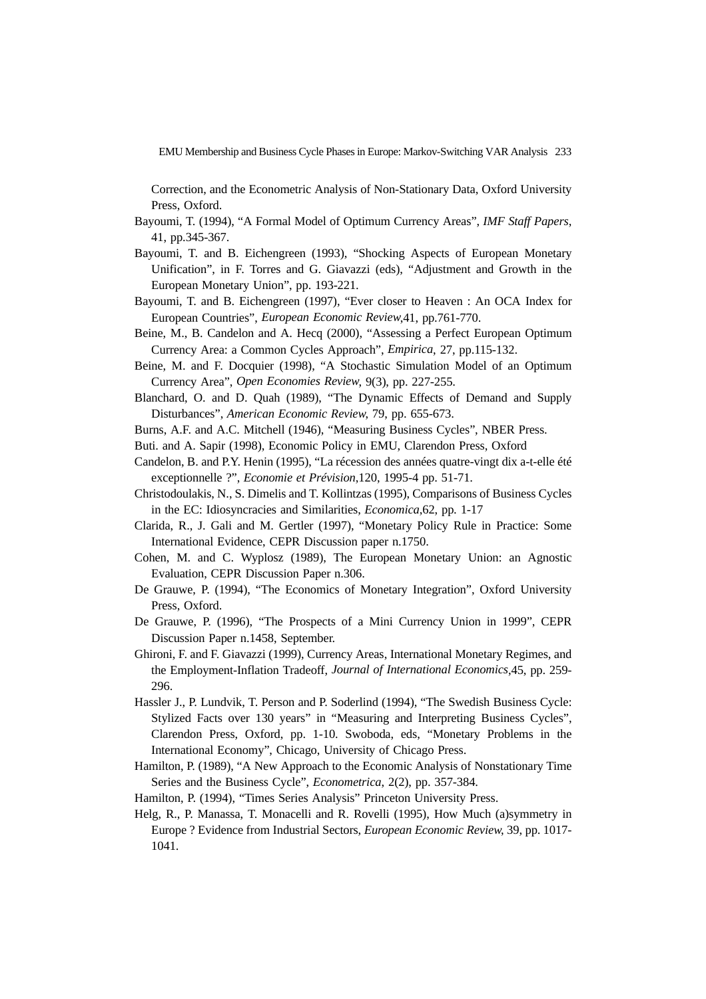Correction, and the Econometric Analysis of Non-Stationary Data, Oxford University Press, Oxford.

- Bayoumi, T. (1994), "A Formal Model of Optimum Currency Areas", *IMF Staff Papers*, 41, pp.345-367.
- Bayoumi, T. and B. Eichengreen (1993), "Shocking Aspects of European Monetary Unification", in F. Torres and G. Giavazzi (eds), "Adjustment and Growth in the European Monetary Union", pp. 193-221.
- Bayoumi, T. and B. Eichengreen (1997), "Ever closer to Heaven : An OCA Index for European Countries", *European Economic Review*,41, pp.761-770.
- Beine, M., B. Candelon and A. Hecq (2000), "Assessing a Perfect European Optimum Currency Area: a Common Cycles Approach", *Empirica*, 27, pp.115-132.
- Beine, M. and F. Docquier (1998), "A Stochastic Simulation Model of an Optimum Currency Area", *Open Economies Review*, 9(3), pp. 227-255.
- Blanchard, O. and D. Quah (1989), "The Dynamic Effects of Demand and Supply Disturbances", *American Economic Review*, 79, pp. 655-673.
- Burns, A.F. and A.C. Mitchell (1946), "Measuring Business Cycles", NBER Press.
- Buti. and A. Sapir (1998), Economic Policy in EMU, Clarendon Press, Oxford
- Candelon, B. and P.Y. Henin (1995), "La récession des années quatre-vingt dix a-t-elle été exceptionnelle ?", *Economie et Prévision*,120, 1995-4 pp. 51-71.
- Christodoulakis, N., S. Dimelis and T. Kollintzas (1995), Comparisons of Business Cycles in the EC: Idiosyncracies and Similarities, *Economica*,62, pp. 1-17
- Clarida, R., J. Gali and M. Gertler (1997), "Monetary Policy Rule in Practice: Some International Evidence, CEPR Discussion paper n.1750.
- Cohen, M. and C. Wyplosz (1989), The European Monetary Union: an Agnostic Evaluation, CEPR Discussion Paper n.306.
- De Grauwe, P. (1994), "The Economics of Monetary Integration", Oxford University Press, Oxford.
- De Grauwe, P. (1996), "The Prospects of a Mini Currency Union in 1999", CEPR Discussion Paper n.1458, September.
- Ghironi, F. and F. Giavazzi (1999), Currency Areas, International Monetary Regimes, and the Employment-Inflation Tradeoff, *Journal of International Economics*,45, pp. 259- 296.
- Hassler J., P. Lundvik, T. Person and P. Soderlind (1994), "The Swedish Business Cycle: Stylized Facts over 130 years" in "Measuring and Interpreting Business Cycles", Clarendon Press, Oxford, pp. 1-10. Swoboda, eds, "Monetary Problems in the International Economy", Chicago, University of Chicago Press.
- Hamilton, P. (1989), "A New Approach to the Economic Analysis of Nonstationary Time Series and the Business Cycle", *Econometrica*, 2(2), pp. 357-384.
- Hamilton, P. (1994), "Times Series Analysis" Princeton University Press.
- Helg, R., P. Manassa, T. Monacelli and R. Rovelli (1995), How Much (a)symmetry in Europe ? Evidence from Industrial Sectors, *European Economic Review*, 39, pp. 1017- 1041.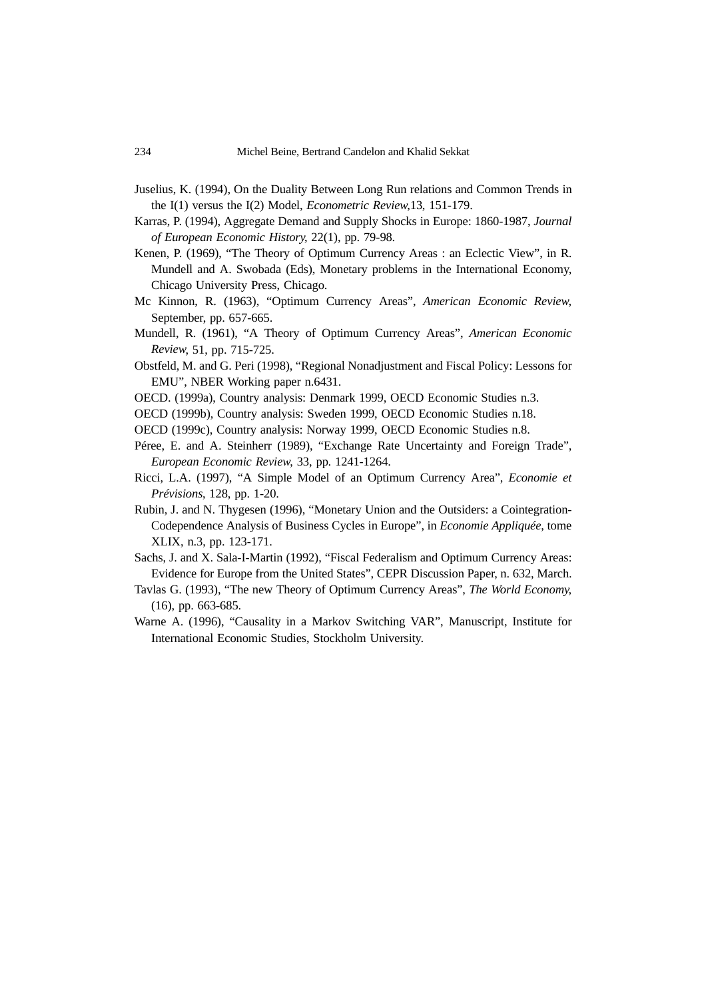- Juselius, K. (1994), On the Duality Between Long Run relations and Common Trends in the I(1) versus the I(2) Model, *Econometric Review*,13, 151-179.
- Karras, P. (1994), Aggregate Demand and Supply Shocks in Europe: 1860-1987, *Journal of European Economic History*, 22(1), pp. 79-98.
- Kenen, P. (1969), "The Theory of Optimum Currency Areas : an Eclectic View", in R. Mundell and A. Swobada (Eds), Monetary problems in the International Economy, Chicago University Press, Chicago.
- Mc Kinnon, R. (1963), "Optimum Currency Areas", *American Economic Review*, September, pp. 657-665.
- Mundell, R. (1961), "A Theory of Optimum Currency Areas", *American Economic Review*, 51, pp. 715-725.
- Obstfeld, M. and G. Peri (1998), "Regional Nonadjustment and Fiscal Policy: Lessons for EMU", NBER Working paper n.6431.
- OECD. (1999a), Country analysis: Denmark 1999, OECD Economic Studies n.3.
- OECD (1999b), Country analysis: Sweden 1999, OECD Economic Studies n.18.
- OECD (1999c), Country analysis: Norway 1999, OECD Economic Studies n.8.
- Péree, E. and A. Steinherr (1989), "Exchange Rate Uncertainty and Foreign Trade", *European Economic Review*, 33, pp. 1241-1264.
- Ricci, L.A. (1997), "A Simple Model of an Optimum Currency Area", *Economie et Prévisions*, 128, pp. 1-20.
- Rubin, J. and N. Thygesen (1996), "Monetary Union and the Outsiders: a Cointegration-Codependence Analysis of Business Cycles in Europe", in *Economie Appliquée*, tome XLIX, n.3, pp. 123-171.
- Sachs, J. and X. Sala-I-Martin (1992), "Fiscal Federalism and Optimum Currency Areas: Evidence for Europe from the United States", CEPR Discussion Paper, n. 632, March.
- Tavlas G. (1993), "The new Theory of Optimum Currency Areas", *The World Economy*, (16), pp. 663-685.
- Warne A. (1996), "Causality in a Markov Switching VAR", Manuscript, Institute for International Economic Studies, Stockholm University.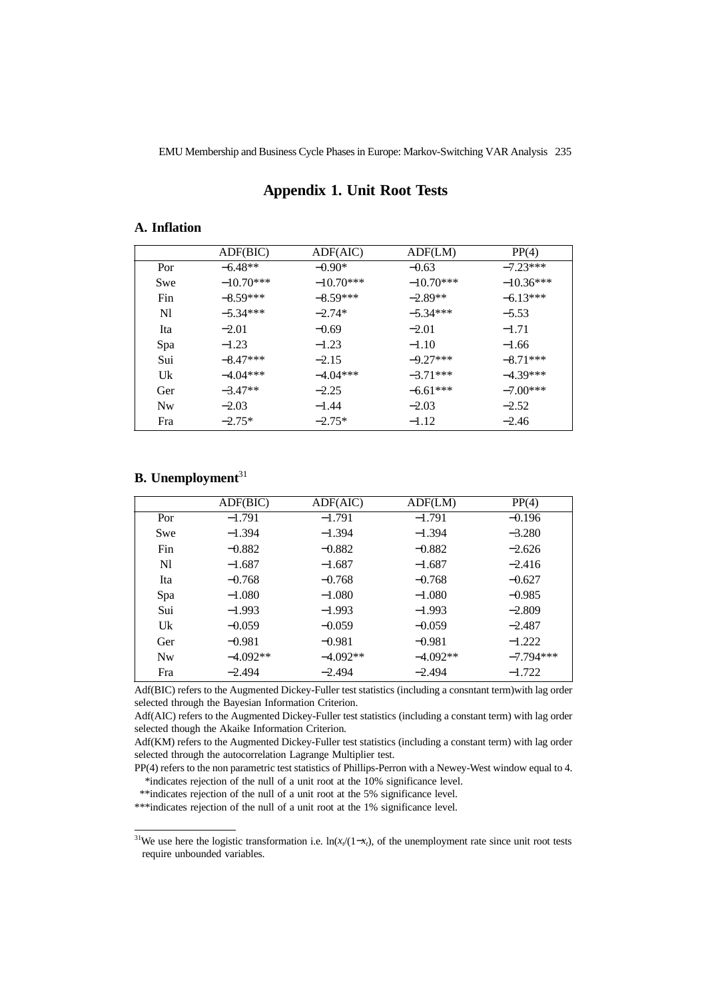### **Appendix 1. Unit Root Tests**

## **A. Inflation**

|                | ADF(BIC)    | ADF(AIC)    | ADF(LM)     | PP(4)       |
|----------------|-------------|-------------|-------------|-------------|
| Por            | $-6.48**$   | $-0.90*$    | $-0.63$     | $-7.23***$  |
| Swe            | $-10.70***$ | $-10.70***$ | $-10.70***$ | $-10.36***$ |
| Fin            | $-8.59***$  | $-8.59***$  | $-2.89**$   | $-6.13***$  |
| N <sub>1</sub> | $-5.34***$  | $-2.74*$    | $-5.34***$  | $-5.53$     |
| Ita            | $-2.01$     | $-0.69$     | $-2.01$     | $-1.71$     |
| Spa            | $-1.23$     | $-1.23$     | $-1.10$     | $-1.66$     |
| Sui            | $-8.47***$  | $-2.15$     | $-9.27***$  | $-8.71***$  |
| Uk             | $-4.04***$  | $-4.04***$  | $-3.71***$  | $-4.39***$  |
| Ger            | $-3.47**$   | $-2.25$     | $-6.61***$  | $-7.00***$  |
| <b>Nw</b>      | $-2.03$     | $-1.44$     | $-2.03$     | $-2.52$     |
| Fra            | $-2.75*$    | $-2.75*$    | $-1.12$     | $-2.46$     |

## **B.** Unemployment<sup>31</sup>

|                | ADF(BIC)   | ADF(AIC)   | ADF(LM)    | PP(4)       |
|----------------|------------|------------|------------|-------------|
| Por            | $-1.791$   | $-1.791$   | $-1.791$   | $-0.196$    |
| Swe            | $-1.394$   | $-1.394$   | $-1.394$   | $-3.280$    |
| Fin            | $-0.882$   | $-0.882$   | $-0.882$   | $-2.626$    |
| N1             | $-1.687$   | $-1.687$   | $-1.687$   | $-2.416$    |
| Ita            | $-0.768$   | $-0.768$   | $-0.768$   | $-0.627$    |
| Spa            | $-1.080$   | $-1.080$   | $-1.080$   | $-0.985$    |
| Sui            | $-1.993$   | $-1.993$   | $-1.993$   | $-2.809$    |
| Uk             | $-0.059$   | $-0.059$   | $-0.059$   | $-2.487$    |
| Ger            | $-0.981$   | $-0.981$   | $-0.981$   | $-1.222$    |
| N <sub>w</sub> | $-4.092**$ | $-4.092**$ | $-4.092**$ | $-7.794***$ |
| Fra            | $-2.494$   | $-2.494$   | $-2.494$   | $-1.722$    |

Adf(BIC) refers to the Augmented Dickey-Fuller test statistics (including a consntant term)with lag order selected through the Bayesian Information Criterion.

Adf(AIC) refers to the Augmented Dickey-Fuller test statistics (including a constant term) with lag order selected though the Akaike Information Criterion.

Adf(KM) refers to the Augmented Dickey-Fuller test statistics (including a constant term) with lag order selected through the autocorrelation Lagrange Multiplier test.

PP(4) refers to the non parametric test statistics of Phillips-Perron with a Newey-West window equal to 4. \*indicates rejection of the null of a unit root at the 10% significance level.

\*\*indicates rejection of the null of a unit root at the 5% significance level.

\*\*\*indicates rejection of the null of a unit root at the 1% significance level.

<sup>&</sup>lt;sup>31</sup>We use here the logistic transformation i.e. ln( $x/(1-x)$ , of the unemployment rate since unit root tests require unbounded variables.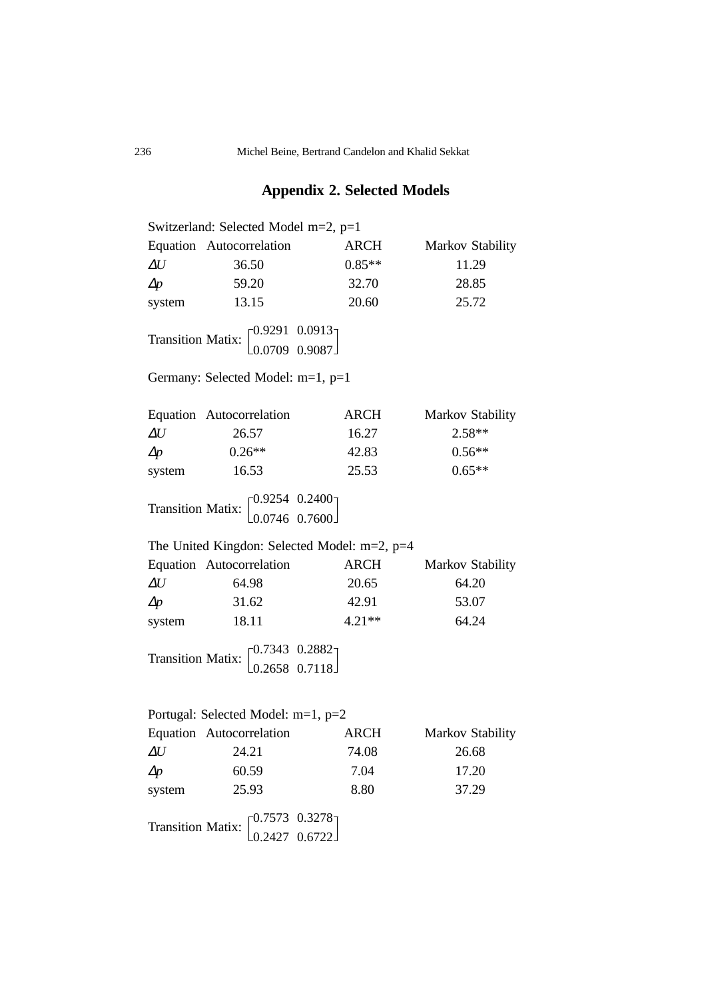# **Appendix 2. Selected Models**

|               |                                                                                      |          | Switzerland: Selected Model m=2, p=1 |  |  |  |  |  |
|---------------|--------------------------------------------------------------------------------------|----------|--------------------------------------|--|--|--|--|--|
|               | Equation Autocorrelation                                                             | ARCH     | Markov Stability                     |  |  |  |  |  |
| $\varDelta U$ | 36.50                                                                                | $0.85**$ | 11.29                                |  |  |  |  |  |
| $\Delta p$    | 59.20                                                                                | 32.70    | 28.85                                |  |  |  |  |  |
| system        | 13.15                                                                                | 20.60    | 25.72                                |  |  |  |  |  |
|               | Transition Matix: $\begin{bmatrix} 0.9291 & 0.0913 \\ 0.0709 & 0.9087 \end{bmatrix}$ |          |                                      |  |  |  |  |  |
|               | Germany: Selected Model: m=1, p=1                                                    |          |                                      |  |  |  |  |  |
|               | Equation Autocorrelation                                                             | ARCH     | Markov Stability                     |  |  |  |  |  |
| $\varDelta U$ | 26.57                                                                                | 16.27    | 2.58**                               |  |  |  |  |  |
| $\Delta p$    | $0.26**$                                                                             | 42.83    | $0.56**$                             |  |  |  |  |  |
| system        | 16.53                                                                                | 25.53    | $0.65**$                             |  |  |  |  |  |
|               | Transition Matix: $\begin{bmatrix} 0.9254 & 0.2400 \\ 0.0746 & 0.7600 \end{bmatrix}$ |          |                                      |  |  |  |  |  |
|               | The United Kingdon: Selected Model: $m=2$ , $p=4$                                    |          |                                      |  |  |  |  |  |
|               | Equation Autocorrelation                                                             | ARCH     | Markov Stability                     |  |  |  |  |  |
|               |                                                                                      |          |                                      |  |  |  |  |  |
| $\varDelta U$ | 64.98                                                                                | 20.65    | 64.20                                |  |  |  |  |  |
| $\Delta p$    | 31.62                                                                                | 42.91    | 53.07                                |  |  |  |  |  |
| system        | 18.11                                                                                | $4.21**$ | 64.24                                |  |  |  |  |  |
|               | Transition Matix: $\begin{bmatrix} 0.7343 & 0.2882 \\ 0.2658 & 0.7118 \end{bmatrix}$ |          |                                      |  |  |  |  |  |
|               | Portugal: Selected Model: m=1, p=2                                                   |          |                                      |  |  |  |  |  |
|               | Equation Autocorrelation                                                             | ARCH     | Markov Stability                     |  |  |  |  |  |
|               | $\Delta U$ 24.21                                                                     | 74.08    | 26.68                                |  |  |  |  |  |
| $\Delta p$    | 60.59                                                                                | 7.04     | 17.20                                |  |  |  |  |  |
| system        | 25.93                                                                                | 8.80     | 37.29                                |  |  |  |  |  |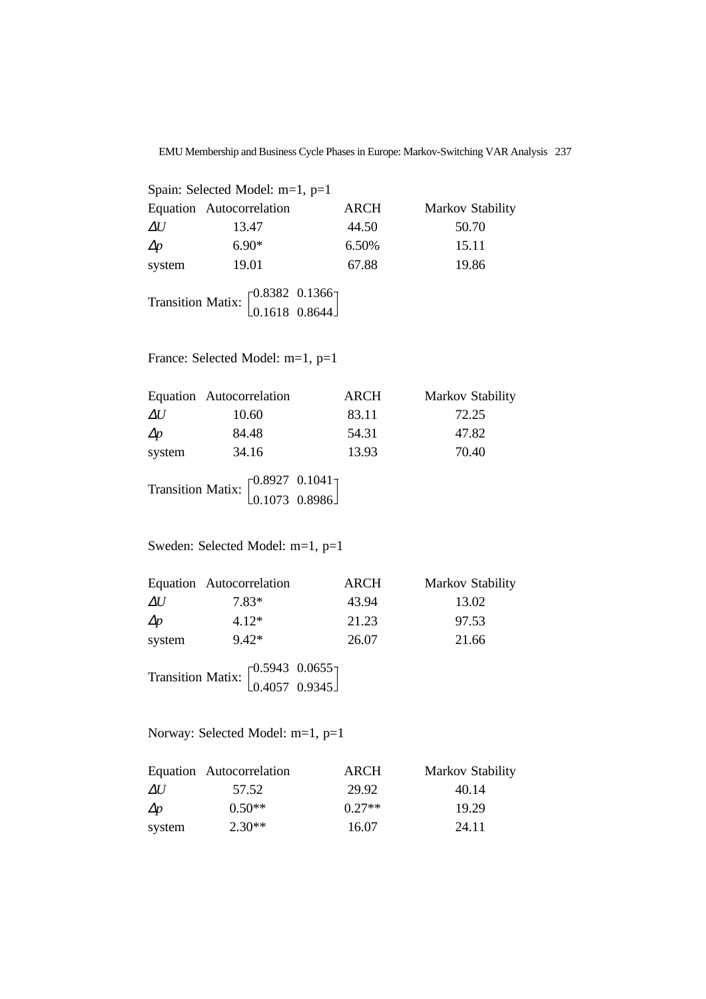| Spain: Selected Model: $m=1$ , $p=1$ |                                                                                      |             |                  |  |  |
|--------------------------------------|--------------------------------------------------------------------------------------|-------------|------------------|--|--|
|                                      | Equation Autocorrelation                                                             | <b>ARCH</b> | Markov Stability |  |  |
| $\Delta U$                           | 13.47                                                                                | 44.50       | 50.70            |  |  |
| $\Delta p$                           | $6.90*$                                                                              | 6.50%       | 15.11            |  |  |
| system                               | 19.01                                                                                | 67.88       | 19.86            |  |  |
|                                      | Transition Matix: $\begin{bmatrix} 0.8382 & 0.1366 \\ 0.1618 & 0.8644 \end{bmatrix}$ |             |                  |  |  |

France: Selected Model: m=1, p=1

Transition Matix:  $\int_{0}^{0.8927}$ 0.1073 0.1041 0.8986

Sweden: Selected Model: m=1, p=1

|            | Equation Autocorrelation                                                             | <b>ARCH</b> | Markov Stability |
|------------|--------------------------------------------------------------------------------------|-------------|------------------|
| $\Delta U$ | $7.83*$                                                                              | 43.94       | 13.02            |
| $\Delta p$ | $4.12*$                                                                              | 21.23       | 97.53            |
| system     | $9.42*$                                                                              | 26.07       | 21.66            |
|            | Transition Matix: $\begin{bmatrix} 0.5943 & 0.0655 \\ 0.4057 & 0.9345 \end{bmatrix}$ |             |                  |

Norway: Selected Model: m=1, p=1

|            | Equation Autocorrelation | ARCH     | <b>Markov Stability</b> |
|------------|--------------------------|----------|-------------------------|
| $\Delta U$ | 57.52                    | 29.92    | 40.14                   |
| $\Delta p$ | $0.50**$                 | $0.27**$ | 19.29                   |
| system     | $2.30**$                 | 16.07    | 24.11                   |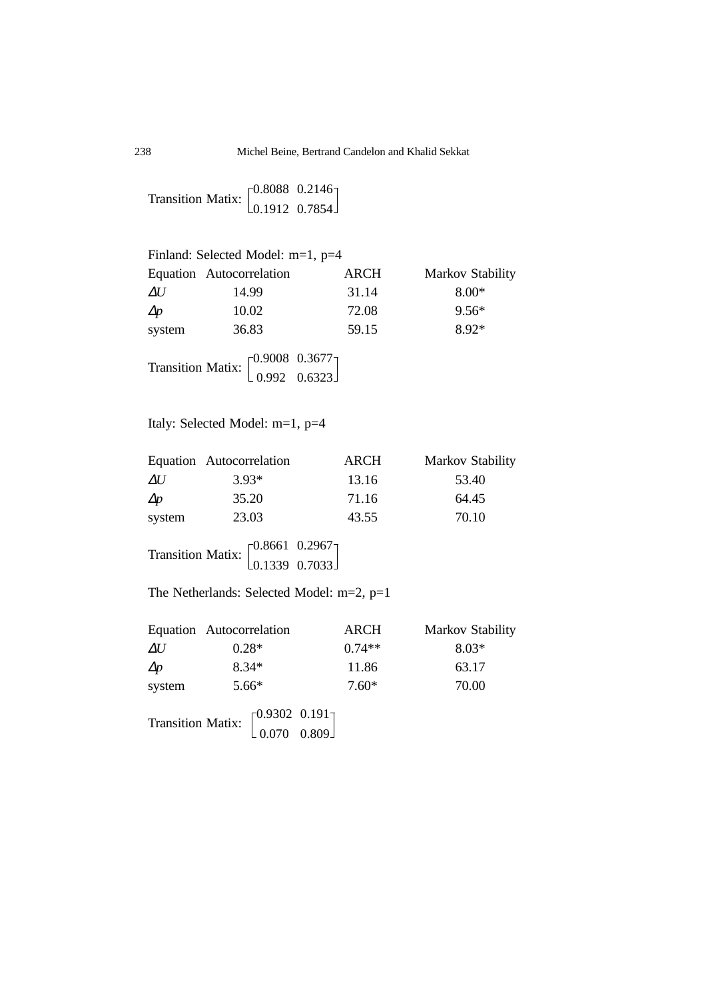Transition Matix:  $\begin{bmatrix} 0.8088 \\ 0.1012 \end{bmatrix}$ 0.1912 0.2146 0.7854

|            | Finland: Selected Model: m=1, p=4                                                   |             |                  |
|------------|-------------------------------------------------------------------------------------|-------------|------------------|
|            | Equation Autocorrelation                                                            | <b>ARCH</b> | Markov Stability |
| $\Delta U$ | 14.99                                                                               | 31.14       | $8.00*$          |
| $\Delta p$ | 10.02                                                                               | 72.08       | $9.56*$          |
| system     | 36.83                                                                               | 59.15       | $8.92*$          |
|            | Transition Matix: $\begin{bmatrix} 0.9008 & 0.3677 \\ 0.992 & 0.6323 \end{bmatrix}$ |             |                  |

## Italy: Selected Model: m=1, p=4

|            | Equation Autocorrelation                                                             | <b>ARCH</b> | Markov Stability |
|------------|--------------------------------------------------------------------------------------|-------------|------------------|
| $\Delta U$ | $3.93*$                                                                              | 13.16       | 53.40            |
| $\Delta p$ | 35.20                                                                                | 71.16       | 64.45            |
| system     | 23.03                                                                                | 43.55       | 70.10            |
|            | Transition Matix: $\begin{bmatrix} 0.8661 & 0.2967 \\ 0.1339 & 0.7033 \end{bmatrix}$ |             |                  |

The Netherlands: Selected Model: m=2, p=1

|            | Equation Autocorrelation                                                          | <b>ARCH</b> | Markov Stability |
|------------|-----------------------------------------------------------------------------------|-------------|------------------|
| $\Delta U$ | $0.28*$                                                                           | $0.74**$    | $8.03*$          |
| $\Delta p$ | $8.34*$                                                                           | 11.86       | 63.17            |
| system     | $5.66*$                                                                           | $7.60*$     | 70.00            |
|            | Transition Matix: $\begin{bmatrix} 0.9302 & 0.191 \\ 0.070 & 0.809 \end{bmatrix}$ |             |                  |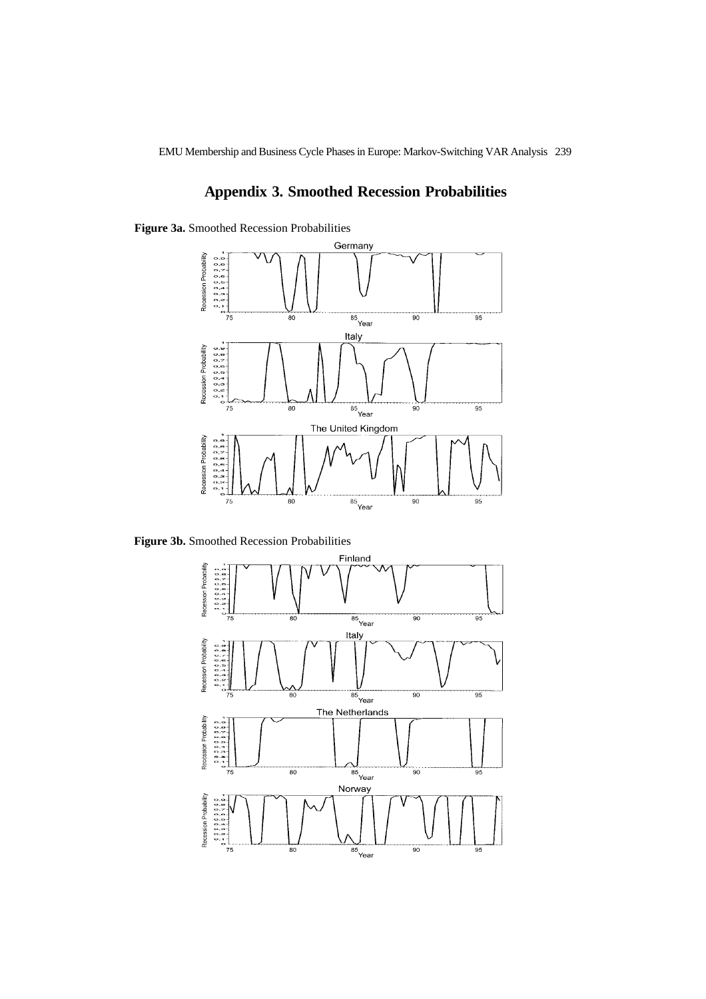## **Appendix 3. Smoothed Recession Probabilities**

**Figure 3a.** Smoothed Recession Probabilities



**Figure 3b.** Smoothed Recession Probabilities

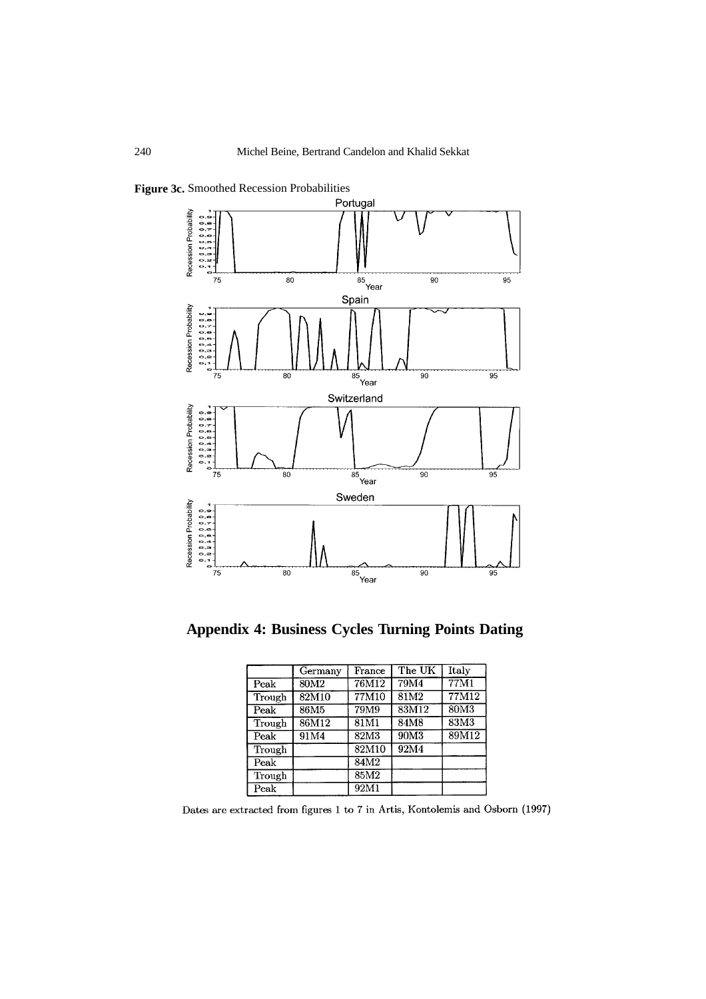

**Appendix 4: Business Cycles Turning Points Dating**

|        | Germany          | $\mathop{\rm France}\nolimits$ | The UK | Italy |
|--------|------------------|--------------------------------|--------|-------|
| Peak   | 80M <sub>2</sub> | 76M12                          | 79M4   | 77M1  |
| Trough | 82M10            | 77M10                          | 81M2   | 77M12 |
| Peak   | 86M <sub>5</sub> | 79M9                           | 83M12  | 80M3  |
| Trough | 86M12            | 81M1                           | 84M8   | 83M3  |
| Peak   | 91M4             | 82M3                           | 90M3   | 89M12 |
| Trough |                  | 82M10                          | 92M4   |       |
| Peak   |                  | 84M2                           |        |       |
| Trough |                  | 85M2                           |        |       |
| Peak   |                  | 92M1                           |        |       |

Dates are extracted from figures 1 to 7 in Artis, Kontolemis and Osborn (1997)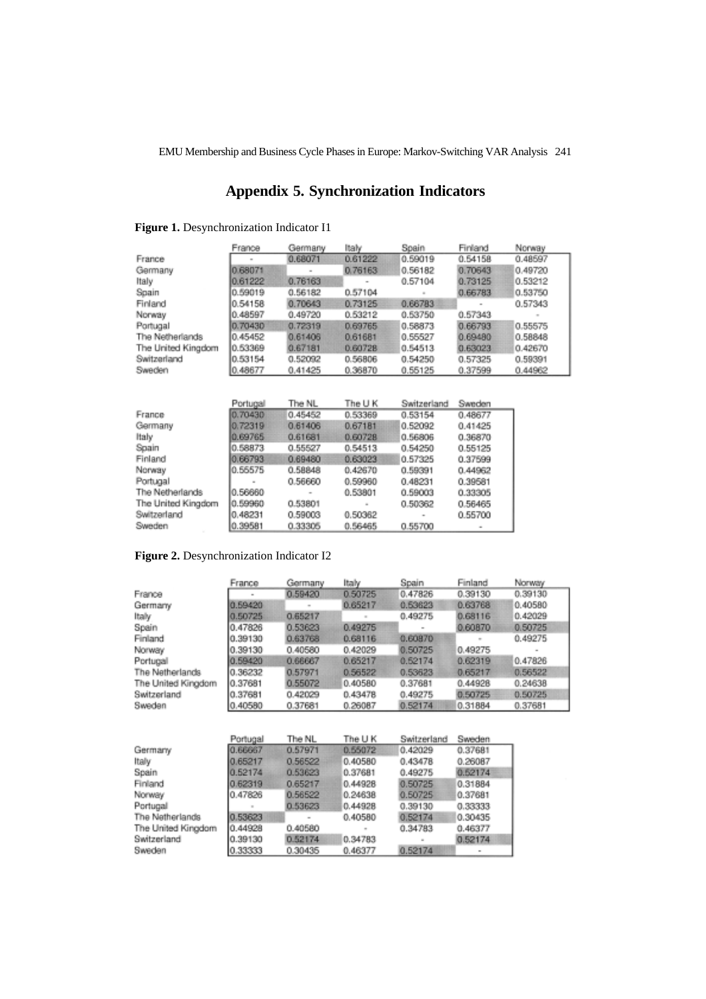## **Appendix 5. Synchronization Indicators**

#### **Figure 1.** Desynchronization Indicator I1

|                    | France         | Germany | ltalv   | Spain       | Finland | Norway  |
|--------------------|----------------|---------|---------|-------------|---------|---------|
| France             | $\overline{a}$ | 0.68071 | 0.61222 | 0.59019     | 0.54158 | 0.48597 |
| Germany            | 0.68071        |         | 0.76163 | 0.56182     | 0.70643 | 0.49720 |
| Italy              | 0.61222        | 0.76163 |         | 0.57104     | 0.73125 | 0.53212 |
| Spain              | 0.59019        | 0.56182 | 0.57104 |             | 0.66783 | 0.53750 |
| Finland            | 0.54158        | 0.70643 | 0.73125 | 0.66783     |         | 0.57343 |
| Norway             | 0.48597        | 0.49720 | 0.53212 | 0.53750     | 0.57343 |         |
| Portugal           | 0.70430        | 0.72319 | 0.69765 | 0.58873     | 0.66793 | 0.55575 |
| The Netherlands    | 0.45452        | 0.61406 | 0.61681 | 0.55527     | 0.69480 | 0.58848 |
| The United Kingdom | 0.53369        | 0.67181 | 0.60728 | 0.54513     | 0.63023 | 0.42670 |
| Switzerland        | 0.53154        | 0.52092 | 0.56806 | 0.54250     | 0.57325 | 0.59391 |
| Sweden             | 0.48677        | 0.41425 | 0.36870 | 0.55125     | 0.37599 | 0.44962 |
|                    |                |         |         |             |         |         |
|                    |                |         |         |             |         |         |
|                    | Portugal       | The NL  | The U K | Switzerland | Sweden  |         |
| France             | 0.70430        | 0.45452 | 0.53369 | 0.53154     | 0.48677 |         |
| Germany            | 0,72319        | 0.61406 | 0.67181 | 0.52092     | 0.41425 |         |
| Italy              | 0.69765        | 0.61681 | 0.60728 | 0.56806     | 0.36870 |         |
| Spain              | 0.58873        | 0.55527 | 0.54513 | 0.54250     | 0.55125 |         |
| Finland            | 0.66793        | 0.69480 | 0.63023 | 0.57325     | 0.37599 |         |
| Norway             | 0.55575        | 0.58848 | 0.42670 | 0.59391     | 0.44962 |         |
| Portugal           |                | 0.56660 | 0.59960 | 0.48231     | 0.39581 |         |
| The Netherlands    | 0.56660        |         | 0.53801 | 0.59003     | 0.33305 |         |

0.53801

0.59003

0.33305

#### **Figure 2.** Desynchronization Indicator I2

0.59960

0.48231

The United Kingdom

Switzerland

Sweden

|                    | France  | Germany | Italy   | Spain   | Finland | Norway  |
|--------------------|---------|---------|---------|---------|---------|---------|
| France             |         | 0.59420 | 0.50725 | 0.47826 | 0.39130 | 0.39130 |
| Germany            | 0.59420 |         | 0.65217 | 0.63623 | 0.63768 | 0.40580 |
| Italy              | 0.50725 | 0.65217 |         | 0.49275 | 0.68116 | 0.42029 |
| Spain              | 0.47826 | 0.53623 | 0.49275 |         | 0.60870 | 0.50725 |
| Finland            | 0.39130 | 0.63768 | 0.68116 | 0.60870 | $\sim$  | 0.49275 |
| Norway             | 0.39130 | 0.40580 | 0.42029 | 0.50725 | 0.49275 |         |
| Portugal           | 0.59420 | 0.66667 | 0.65217 | 0.52174 | 0.62319 | 0.47826 |
| The Netherlands    | 0.36232 | 0.57971 | 0.56522 | 0.53623 | 0.65217 | 0.56522 |
| The United Kingdom | 0.37681 | 0.55072 | 0.40580 | 0.37681 | 0.44928 | 0.24638 |
| Switzerland        | 0.37681 | 0.42029 | 0.43478 | 0.49275 | 0.50725 | 0.50725 |
| Sweden             | 0.40580 | 0.37681 | 0.26087 | 0.52174 | 0.31884 | 0.37681 |

0.50362

0.56465

0.50362

0.55700

 $\overline{\phantom{a}}$ 

0.56465

0.55700

|                    | Portugal | The NL                   | The U K | Switzerland | Sweden  |
|--------------------|----------|--------------------------|---------|-------------|---------|
| Germany            | 0.66667  | 0.57971                  | 0.55072 | 0.42029     | 0.37681 |
| Italy              | 0.65217  | 0.56522                  | 0.40580 | 0.43478     | 0.26087 |
| Spain              | 0.52174  | 0.53623                  | 0.37681 | 0.49275     | 0.52174 |
| Finland            | 0.62319  | 0.65217                  | 0.44928 | 0.50725     | 0.31884 |
| Norway             | 0.47826  | 0.56522                  | 0.24638 | 0.50725     | 0.37681 |
| Portugal           |          | 0.53623                  | 0.44928 | 0.39130     | 0.33333 |
| The Netherlands    | 0.53623  | $\overline{\phantom{a}}$ | 0.40580 | 0.52174     | 0.30435 |
| The United Kingdom | 0.44928  | 0.40580                  | $\sim$  | 0.34783     | 0.46377 |
| Switzerland        | 0.39130  | 0.52174                  | 0.34783 | $\sim$      | 0.52174 |
| Sweden             | 0.33333  | 0.30435                  | 0.46377 | 0.52174     | ۰       |